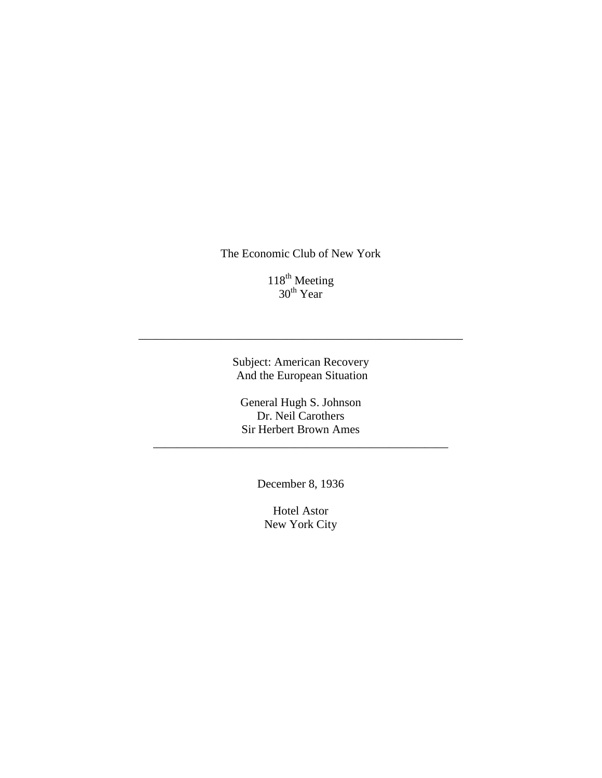The Economic Club of New York

118<sup>th</sup> Meeting  $30^{\text{th}}$  Year

Subject: American Recovery And the European Situation

\_\_\_\_\_\_\_\_\_\_\_\_\_\_\_\_\_\_\_\_\_\_\_\_\_\_\_\_\_\_\_\_\_\_\_\_\_\_\_\_\_\_\_\_\_\_\_\_\_\_\_\_\_\_\_

General Hugh S. Johnson Dr. Neil Carothers Sir Herbert Brown Ames

\_\_\_\_\_\_\_\_\_\_\_\_\_\_\_\_\_\_\_\_\_\_\_\_\_\_\_\_\_\_\_\_\_\_\_\_\_\_\_\_\_\_\_\_\_\_\_\_\_\_

December 8, 1936

Hotel Astor New York City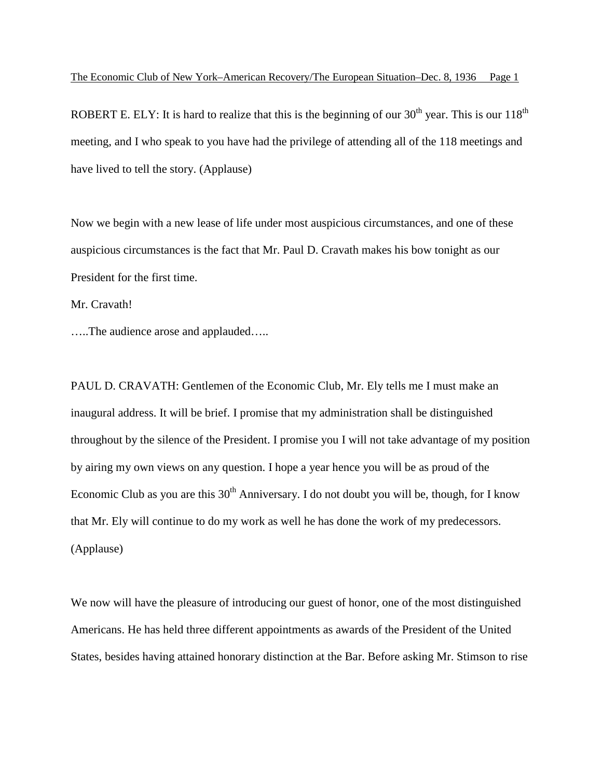ROBERT E. ELY: It is hard to realize that this is the beginning of our  $30<sup>th</sup>$  year. This is our  $118<sup>th</sup>$ meeting, and I who speak to you have had the privilege of attending all of the 118 meetings and have lived to tell the story. (Applause)

Now we begin with a new lease of life under most auspicious circumstances, and one of these auspicious circumstances is the fact that Mr. Paul D. Cravath makes his bow tonight as our President for the first time.

Mr. Cravath!

…..The audience arose and applauded…..

PAUL D. CRAVATH: Gentlemen of the Economic Club, Mr. Ely tells me I must make an inaugural address. It will be brief. I promise that my administration shall be distinguished throughout by the silence of the President. I promise you I will not take advantage of my position by airing my own views on any question. I hope a year hence you will be as proud of the Economic Club as you are this  $30<sup>th</sup>$  Anniversary. I do not doubt you will be, though, for I know that Mr. Ely will continue to do my work as well he has done the work of my predecessors. (Applause)

We now will have the pleasure of introducing our guest of honor, one of the most distinguished Americans. He has held three different appointments as awards of the President of the United States, besides having attained honorary distinction at the Bar. Before asking Mr. Stimson to rise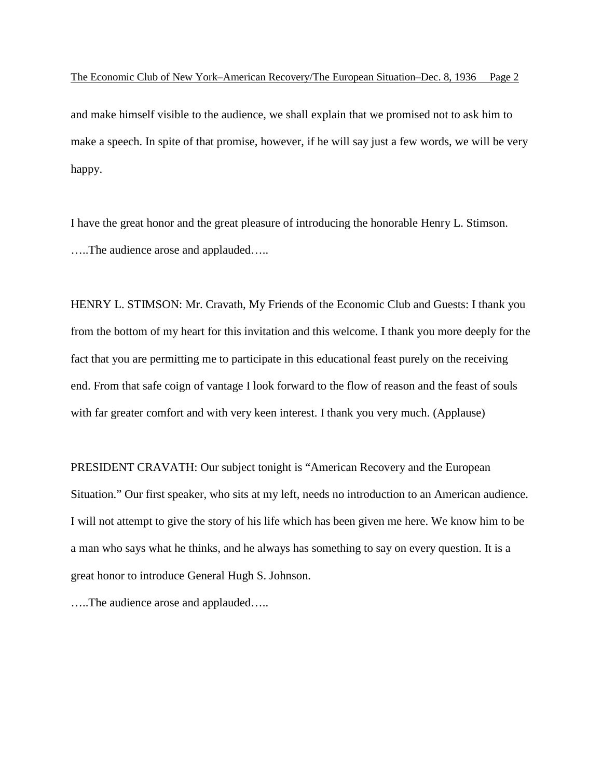and make himself visible to the audience, we shall explain that we promised not to ask him to make a speech. In spite of that promise, however, if he will say just a few words, we will be very happy.

I have the great honor and the great pleasure of introducing the honorable Henry L. Stimson. …..The audience arose and applauded…..

HENRY L. STIMSON: Mr. Cravath, My Friends of the Economic Club and Guests: I thank you from the bottom of my heart for this invitation and this welcome. I thank you more deeply for the fact that you are permitting me to participate in this educational feast purely on the receiving end. From that safe coign of vantage I look forward to the flow of reason and the feast of souls with far greater comfort and with very keen interest. I thank you very much. (Applause)

PRESIDENT CRAVATH: Our subject tonight is "American Recovery and the European Situation." Our first speaker, who sits at my left, needs no introduction to an American audience. I will not attempt to give the story of his life which has been given me here. We know him to be a man who says what he thinks, and he always has something to say on every question. It is a great honor to introduce General Hugh S. Johnson.

…..The audience arose and applauded…..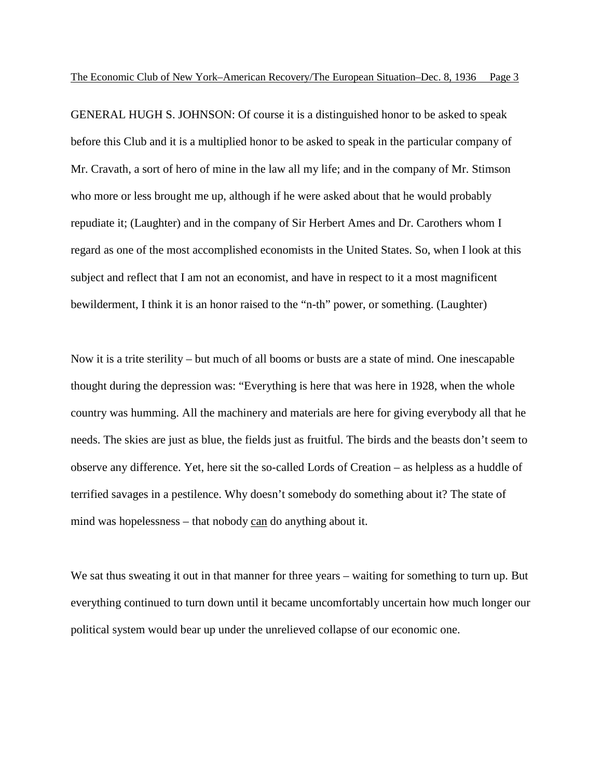GENERAL HUGH S. JOHNSON: Of course it is a distinguished honor to be asked to speak before this Club and it is a multiplied honor to be asked to speak in the particular company of Mr. Cravath, a sort of hero of mine in the law all my life; and in the company of Mr. Stimson who more or less brought me up, although if he were asked about that he would probably repudiate it; (Laughter) and in the company of Sir Herbert Ames and Dr. Carothers whom I regard as one of the most accomplished economists in the United States. So, when I look at this subject and reflect that I am not an economist, and have in respect to it a most magnificent bewilderment, I think it is an honor raised to the "n-th" power, or something. (Laughter)

Now it is a trite sterility – but much of all booms or busts are a state of mind. One inescapable thought during the depression was: "Everything is here that was here in 1928, when the whole country was humming. All the machinery and materials are here for giving everybody all that he needs. The skies are just as blue, the fields just as fruitful. The birds and the beasts don't seem to observe any difference. Yet, here sit the so-called Lords of Creation – as helpless as a huddle of terrified savages in a pestilence. Why doesn't somebody do something about it? The state of mind was hopelessness – that nobody can do anything about it.

We sat thus sweating it out in that manner for three years – waiting for something to turn up. But everything continued to turn down until it became uncomfortably uncertain how much longer our political system would bear up under the unrelieved collapse of our economic one.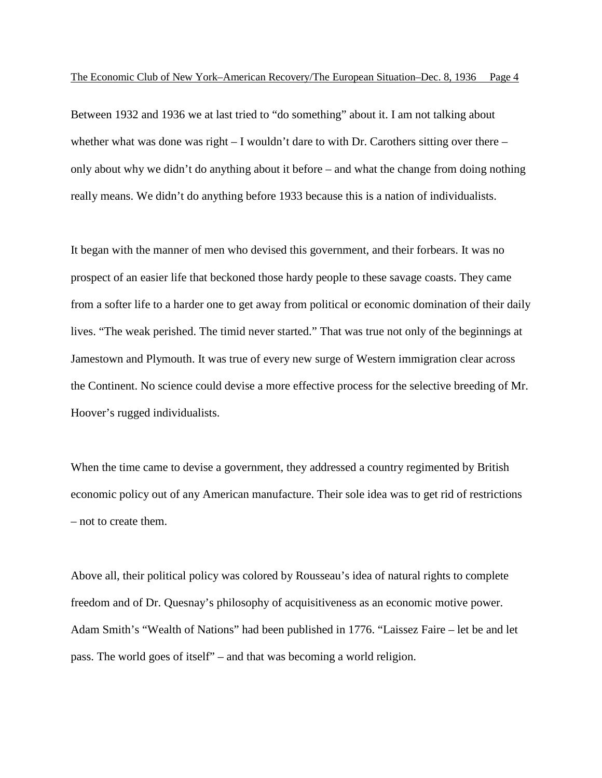Between 1932 and 1936 we at last tried to "do something" about it. I am not talking about whether what was done was right  $-1$  wouldn't dare to with Dr. Carothers sitting over there  $$ only about why we didn't do anything about it before – and what the change from doing nothing really means. We didn't do anything before 1933 because this is a nation of individualists.

It began with the manner of men who devised this government, and their forbears. It was no prospect of an easier life that beckoned those hardy people to these savage coasts. They came from a softer life to a harder one to get away from political or economic domination of their daily lives. "The weak perished. The timid never started." That was true not only of the beginnings at Jamestown and Plymouth. It was true of every new surge of Western immigration clear across the Continent. No science could devise a more effective process for the selective breeding of Mr. Hoover's rugged individualists.

When the time came to devise a government, they addressed a country regimented by British economic policy out of any American manufacture. Their sole idea was to get rid of restrictions – not to create them.

Above all, their political policy was colored by Rousseau's idea of natural rights to complete freedom and of Dr. Quesnay's philosophy of acquisitiveness as an economic motive power. Adam Smith's "Wealth of Nations" had been published in 1776. "Laissez Faire – let be and let pass. The world goes of itself" – and that was becoming a world religion.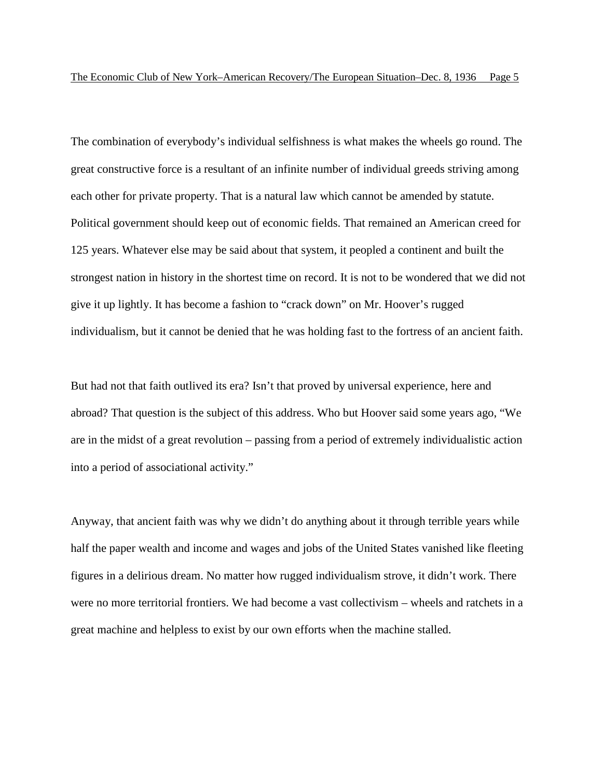The combination of everybody's individual selfishness is what makes the wheels go round. The great constructive force is a resultant of an infinite number of individual greeds striving among each other for private property. That is a natural law which cannot be amended by statute. Political government should keep out of economic fields. That remained an American creed for 125 years. Whatever else may be said about that system, it peopled a continent and built the strongest nation in history in the shortest time on record. It is not to be wondered that we did not give it up lightly. It has become a fashion to "crack down" on Mr. Hoover's rugged individualism, but it cannot be denied that he was holding fast to the fortress of an ancient faith.

But had not that faith outlived its era? Isn't that proved by universal experience, here and abroad? That question is the subject of this address. Who but Hoover said some years ago, "We are in the midst of a great revolution – passing from a period of extremely individualistic action into a period of associational activity."

Anyway, that ancient faith was why we didn't do anything about it through terrible years while half the paper wealth and income and wages and jobs of the United States vanished like fleeting figures in a delirious dream. No matter how rugged individualism strove, it didn't work. There were no more territorial frontiers. We had become a vast collectivism – wheels and ratchets in a great machine and helpless to exist by our own efforts when the machine stalled.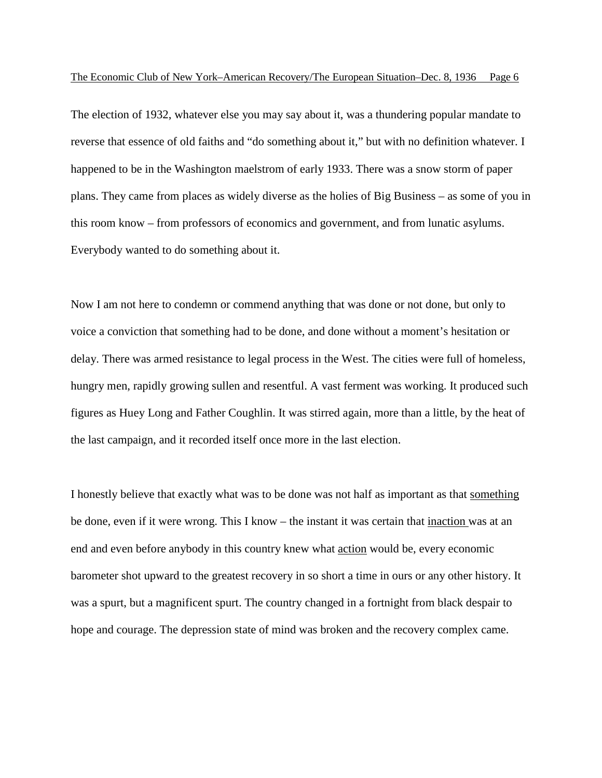The election of 1932, whatever else you may say about it, was a thundering popular mandate to reverse that essence of old faiths and "do something about it," but with no definition whatever. I happened to be in the Washington maelstrom of early 1933. There was a snow storm of paper plans. They came from places as widely diverse as the holies of Big Business – as some of you in this room know – from professors of economics and government, and from lunatic asylums. Everybody wanted to do something about it.

Now I am not here to condemn or commend anything that was done or not done, but only to voice a conviction that something had to be done, and done without a moment's hesitation or delay. There was armed resistance to legal process in the West. The cities were full of homeless, hungry men, rapidly growing sullen and resentful. A vast ferment was working. It produced such figures as Huey Long and Father Coughlin. It was stirred again, more than a little, by the heat of the last campaign, and it recorded itself once more in the last election.

I honestly believe that exactly what was to be done was not half as important as that something be done, even if it were wrong. This I know – the instant it was certain that inaction was at an end and even before anybody in this country knew what action would be, every economic barometer shot upward to the greatest recovery in so short a time in ours or any other history. It was a spurt, but a magnificent spurt. The country changed in a fortnight from black despair to hope and courage. The depression state of mind was broken and the recovery complex came.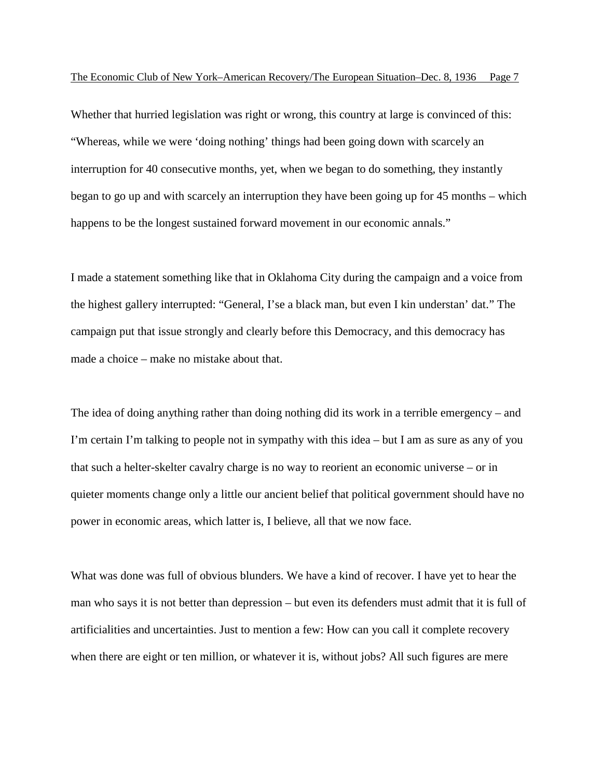Whether that hurried legislation was right or wrong, this country at large is convinced of this: "Whereas, while we were 'doing nothing' things had been going down with scarcely an interruption for 40 consecutive months, yet, when we began to do something, they instantly began to go up and with scarcely an interruption they have been going up for 45 months – which happens to be the longest sustained forward movement in our economic annals."

I made a statement something like that in Oklahoma City during the campaign and a voice from the highest gallery interrupted: "General, I'se a black man, but even I kin understan' dat." The campaign put that issue strongly and clearly before this Democracy, and this democracy has made a choice – make no mistake about that.

The idea of doing anything rather than doing nothing did its work in a terrible emergency – and I'm certain I'm talking to people not in sympathy with this idea – but I am as sure as any of you that such a helter-skelter cavalry charge is no way to reorient an economic universe – or in quieter moments change only a little our ancient belief that political government should have no power in economic areas, which latter is, I believe, all that we now face.

What was done was full of obvious blunders. We have a kind of recover. I have yet to hear the man who says it is not better than depression – but even its defenders must admit that it is full of artificialities and uncertainties. Just to mention a few: How can you call it complete recovery when there are eight or ten million, or whatever it is, without jobs? All such figures are mere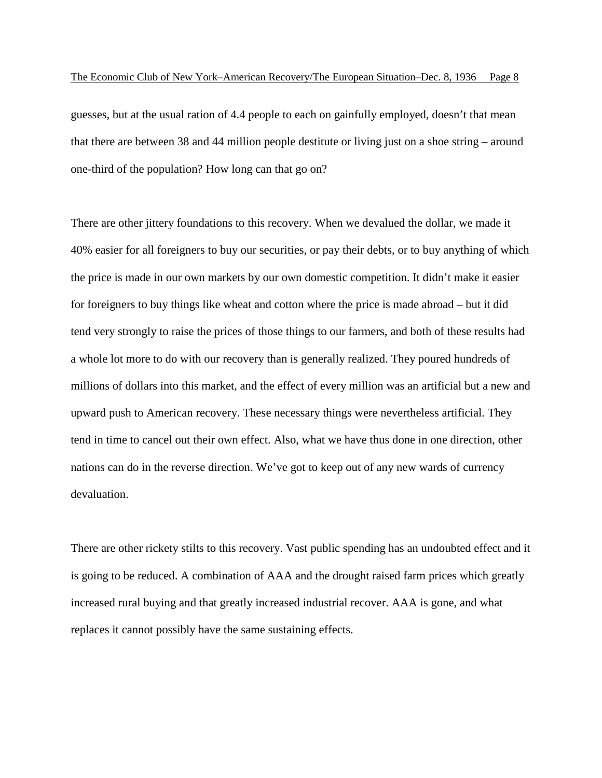guesses, but at the usual ration of 4.4 people to each on gainfully employed, doesn't that mean that there are between 38 and 44 million people destitute or living just on a shoe string – around one-third of the population? How long can that go on?

There are other jittery foundations to this recovery. When we devalued the dollar, we made it 40% easier for all foreigners to buy our securities, or pay their debts, or to buy anything of which the price is made in our own markets by our own domestic competition. It didn't make it easier for foreigners to buy things like wheat and cotton where the price is made abroad – but it did tend very strongly to raise the prices of those things to our farmers, and both of these results had a whole lot more to do with our recovery than is generally realized. They poured hundreds of millions of dollars into this market, and the effect of every million was an artificial but a new and upward push to American recovery. These necessary things were nevertheless artificial. They tend in time to cancel out their own effect. Also, what we have thus done in one direction, other nations can do in the reverse direction. We've got to keep out of any new wards of currency devaluation.

There are other rickety stilts to this recovery. Vast public spending has an undoubted effect and it is going to be reduced. A combination of AAA and the drought raised farm prices which greatly increased rural buying and that greatly increased industrial recover. AAA is gone, and what replaces it cannot possibly have the same sustaining effects.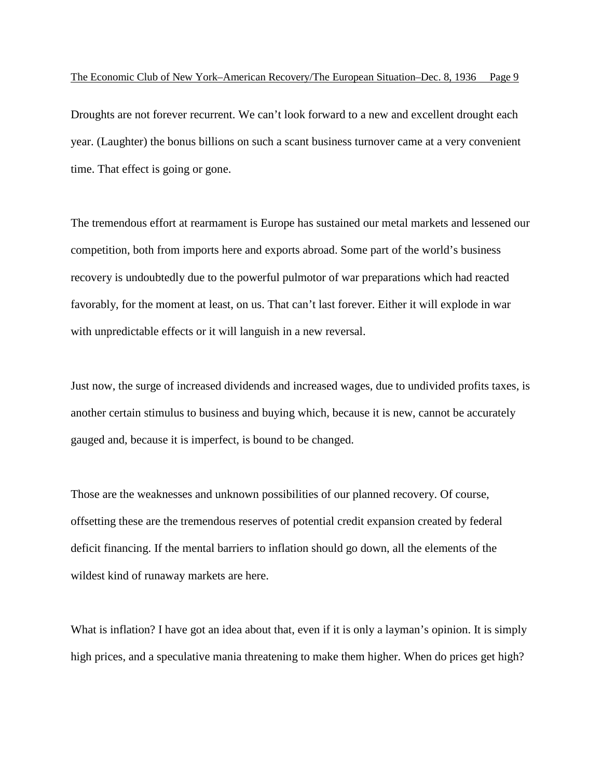Droughts are not forever recurrent. We can't look forward to a new and excellent drought each year. (Laughter) the bonus billions on such a scant business turnover came at a very convenient time. That effect is going or gone.

The tremendous effort at rearmament is Europe has sustained our metal markets and lessened our competition, both from imports here and exports abroad. Some part of the world's business recovery is undoubtedly due to the powerful pulmotor of war preparations which had reacted favorably, for the moment at least, on us. That can't last forever. Either it will explode in war with unpredictable effects or it will languish in a new reversal.

Just now, the surge of increased dividends and increased wages, due to undivided profits taxes, is another certain stimulus to business and buying which, because it is new, cannot be accurately gauged and, because it is imperfect, is bound to be changed.

Those are the weaknesses and unknown possibilities of our planned recovery. Of course, offsetting these are the tremendous reserves of potential credit expansion created by federal deficit financing. If the mental barriers to inflation should go down, all the elements of the wildest kind of runaway markets are here.

What is inflation? I have got an idea about that, even if it is only a layman's opinion. It is simply high prices, and a speculative mania threatening to make them higher. When do prices get high?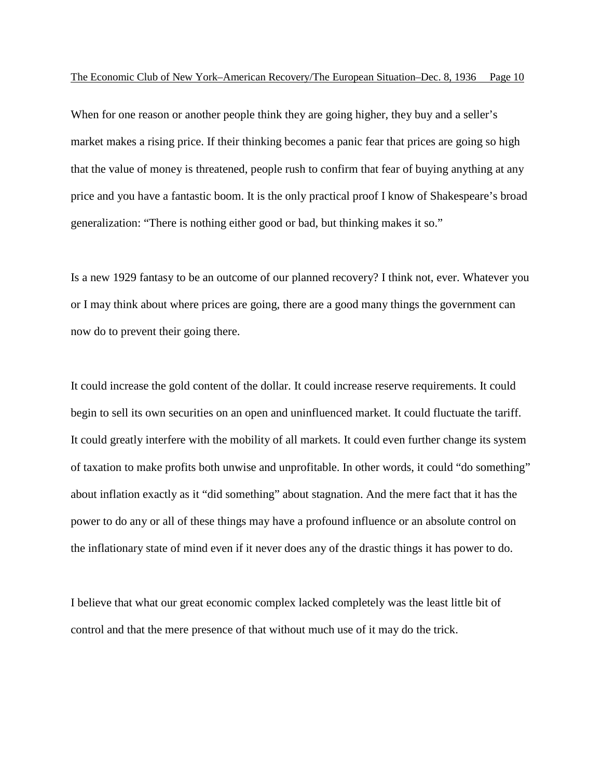When for one reason or another people think they are going higher, they buy and a seller's market makes a rising price. If their thinking becomes a panic fear that prices are going so high that the value of money is threatened, people rush to confirm that fear of buying anything at any price and you have a fantastic boom. It is the only practical proof I know of Shakespeare's broad generalization: "There is nothing either good or bad, but thinking makes it so."

Is a new 1929 fantasy to be an outcome of our planned recovery? I think not, ever. Whatever you or I may think about where prices are going, there are a good many things the government can now do to prevent their going there.

It could increase the gold content of the dollar. It could increase reserve requirements. It could begin to sell its own securities on an open and uninfluenced market. It could fluctuate the tariff. It could greatly interfere with the mobility of all markets. It could even further change its system of taxation to make profits both unwise and unprofitable. In other words, it could "do something" about inflation exactly as it "did something" about stagnation. And the mere fact that it has the power to do any or all of these things may have a profound influence or an absolute control on the inflationary state of mind even if it never does any of the drastic things it has power to do.

I believe that what our great economic complex lacked completely was the least little bit of control and that the mere presence of that without much use of it may do the trick.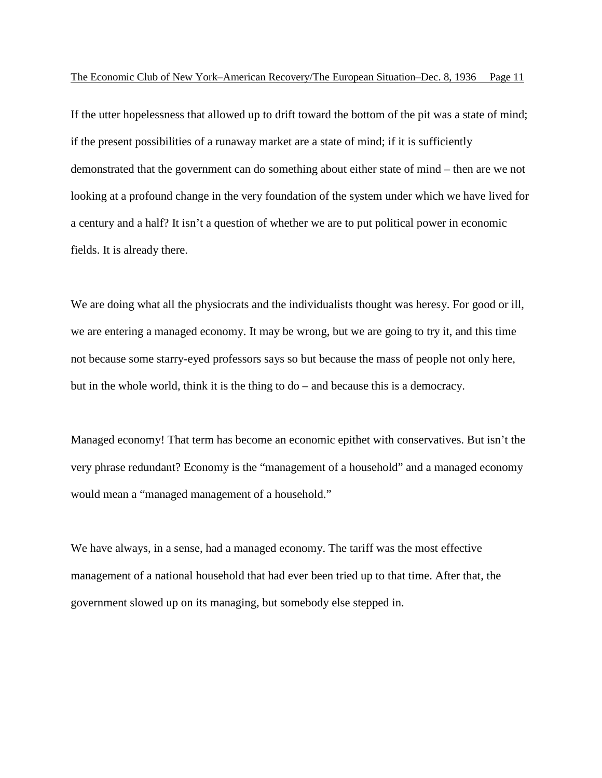If the utter hopelessness that allowed up to drift toward the bottom of the pit was a state of mind; if the present possibilities of a runaway market are a state of mind; if it is sufficiently demonstrated that the government can do something about either state of mind – then are we not looking at a profound change in the very foundation of the system under which we have lived for a century and a half? It isn't a question of whether we are to put political power in economic fields. It is already there.

We are doing what all the physiocrats and the individualists thought was heresy. For good or ill, we are entering a managed economy. It may be wrong, but we are going to try it, and this time not because some starry-eyed professors says so but because the mass of people not only here, but in the whole world, think it is the thing to do – and because this is a democracy.

Managed economy! That term has become an economic epithet with conservatives. But isn't the very phrase redundant? Economy is the "management of a household" and a managed economy would mean a "managed management of a household."

We have always, in a sense, had a managed economy. The tariff was the most effective management of a national household that had ever been tried up to that time. After that, the government slowed up on its managing, but somebody else stepped in.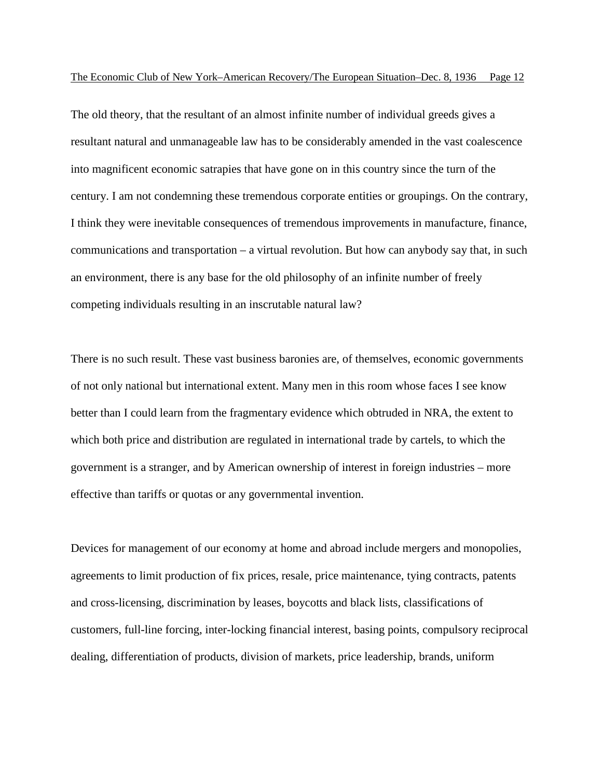The old theory, that the resultant of an almost infinite number of individual greeds gives a resultant natural and unmanageable law has to be considerably amended in the vast coalescence into magnificent economic satrapies that have gone on in this country since the turn of the century. I am not condemning these tremendous corporate entities or groupings. On the contrary, I think they were inevitable consequences of tremendous improvements in manufacture, finance, communications and transportation – a virtual revolution. But how can anybody say that, in such an environment, there is any base for the old philosophy of an infinite number of freely competing individuals resulting in an inscrutable natural law?

There is no such result. These vast business baronies are, of themselves, economic governments of not only national but international extent. Many men in this room whose faces I see know better than I could learn from the fragmentary evidence which obtruded in NRA, the extent to which both price and distribution are regulated in international trade by cartels, to which the government is a stranger, and by American ownership of interest in foreign industries – more effective than tariffs or quotas or any governmental invention.

Devices for management of our economy at home and abroad include mergers and monopolies, agreements to limit production of fix prices, resale, price maintenance, tying contracts, patents and cross-licensing, discrimination by leases, boycotts and black lists, classifications of customers, full-line forcing, inter-locking financial interest, basing points, compulsory reciprocal dealing, differentiation of products, division of markets, price leadership, brands, uniform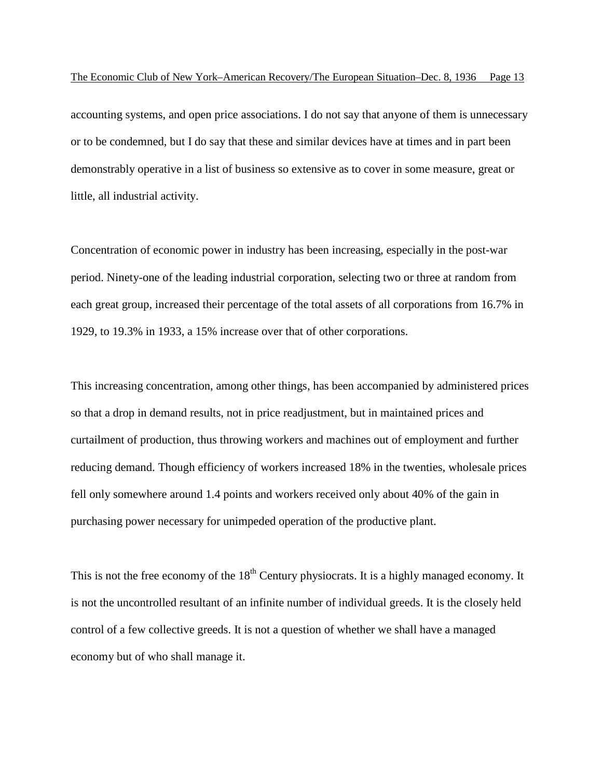accounting systems, and open price associations. I do not say that anyone of them is unnecessary or to be condemned, but I do say that these and similar devices have at times and in part been demonstrably operative in a list of business so extensive as to cover in some measure, great or little, all industrial activity.

Concentration of economic power in industry has been increasing, especially in the post-war period. Ninety-one of the leading industrial corporation, selecting two or three at random from each great group, increased their percentage of the total assets of all corporations from 16.7% in 1929, to 19.3% in 1933, a 15% increase over that of other corporations.

This increasing concentration, among other things, has been accompanied by administered prices so that a drop in demand results, not in price readjustment, but in maintained prices and curtailment of production, thus throwing workers and machines out of employment and further reducing demand. Though efficiency of workers increased 18% in the twenties, wholesale prices fell only somewhere around 1.4 points and workers received only about 40% of the gain in purchasing power necessary for unimpeded operation of the productive plant.

This is not the free economy of the  $18<sup>th</sup>$  Century physiocrats. It is a highly managed economy. It is not the uncontrolled resultant of an infinite number of individual greeds. It is the closely held control of a few collective greeds. It is not a question of whether we shall have a managed economy but of who shall manage it.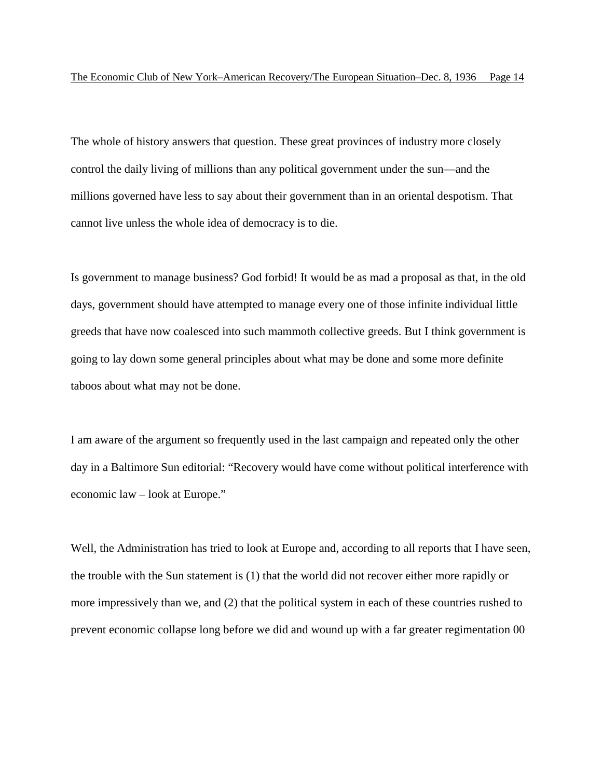The whole of history answers that question. These great provinces of industry more closely control the daily living of millions than any political government under the sun—and the millions governed have less to say about their government than in an oriental despotism. That cannot live unless the whole idea of democracy is to die.

Is government to manage business? God forbid! It would be as mad a proposal as that, in the old days, government should have attempted to manage every one of those infinite individual little greeds that have now coalesced into such mammoth collective greeds. But I think government is going to lay down some general principles about what may be done and some more definite taboos about what may not be done.

I am aware of the argument so frequently used in the last campaign and repeated only the other day in a Baltimore Sun editorial: "Recovery would have come without political interference with economic law – look at Europe."

Well, the Administration has tried to look at Europe and, according to all reports that I have seen, the trouble with the Sun statement is (1) that the world did not recover either more rapidly or more impressively than we, and (2) that the political system in each of these countries rushed to prevent economic collapse long before we did and wound up with a far greater regimentation 00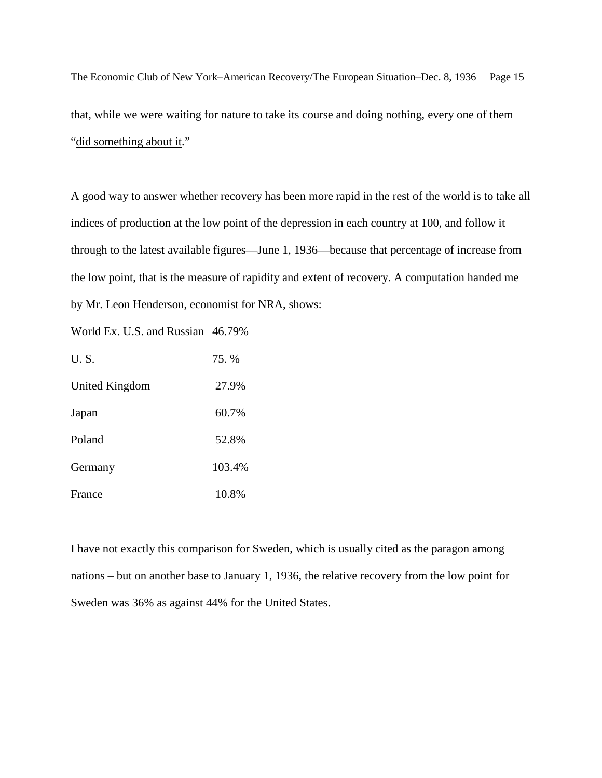that, while we were waiting for nature to take its course and doing nothing, every one of them "did something about it."

A good way to answer whether recovery has been more rapid in the rest of the world is to take all indices of production at the low point of the depression in each country at 100, and follow it through to the latest available figures—June 1, 1936—because that percentage of increase from the low point, that is the measure of rapidity and extent of recovery. A computation handed me by Mr. Leon Henderson, economist for NRA, shows:

World Ex. U.S. and Russian 46.79%

| U.S.           | 75. %  |
|----------------|--------|
| United Kingdom | 27.9%  |
| Japan          | 60.7%  |
| Poland         | 52.8%  |
| Germany        | 103.4% |
| France         | 10.8%  |

I have not exactly this comparison for Sweden, which is usually cited as the paragon among nations – but on another base to January 1, 1936, the relative recovery from the low point for Sweden was 36% as against 44% for the United States.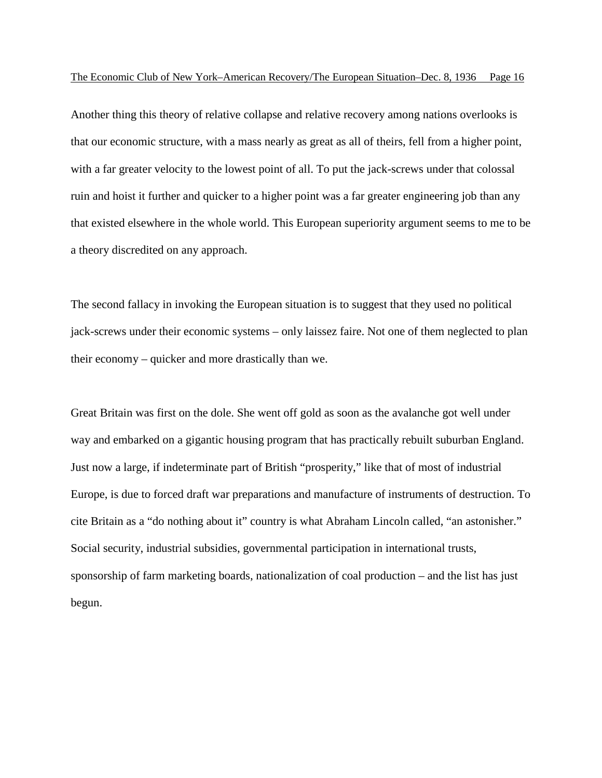Another thing this theory of relative collapse and relative recovery among nations overlooks is that our economic structure, with a mass nearly as great as all of theirs, fell from a higher point, with a far greater velocity to the lowest point of all. To put the jack-screws under that colossal ruin and hoist it further and quicker to a higher point was a far greater engineering job than any that existed elsewhere in the whole world. This European superiority argument seems to me to be a theory discredited on any approach.

The second fallacy in invoking the European situation is to suggest that they used no political jack-screws under their economic systems – only laissez faire. Not one of them neglected to plan their economy – quicker and more drastically than we.

Great Britain was first on the dole. She went off gold as soon as the avalanche got well under way and embarked on a gigantic housing program that has practically rebuilt suburban England. Just now a large, if indeterminate part of British "prosperity," like that of most of industrial Europe, is due to forced draft war preparations and manufacture of instruments of destruction. To cite Britain as a "do nothing about it" country is what Abraham Lincoln called, "an astonisher." Social security, industrial subsidies, governmental participation in international trusts, sponsorship of farm marketing boards, nationalization of coal production – and the list has just begun.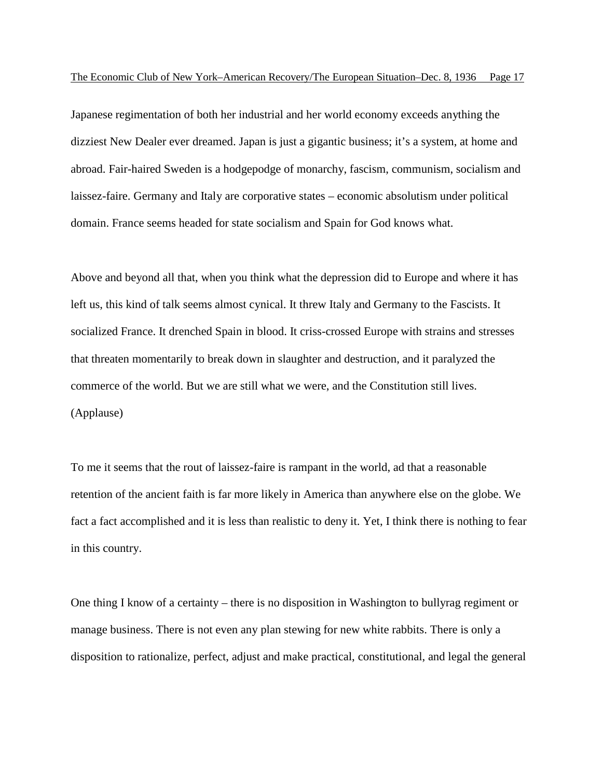Japanese regimentation of both her industrial and her world economy exceeds anything the dizziest New Dealer ever dreamed. Japan is just a gigantic business; it's a system, at home and abroad. Fair-haired Sweden is a hodgepodge of monarchy, fascism, communism, socialism and laissez-faire. Germany and Italy are corporative states – economic absolutism under political domain. France seems headed for state socialism and Spain for God knows what.

Above and beyond all that, when you think what the depression did to Europe and where it has left us, this kind of talk seems almost cynical. It threw Italy and Germany to the Fascists. It socialized France. It drenched Spain in blood. It criss-crossed Europe with strains and stresses that threaten momentarily to break down in slaughter and destruction, and it paralyzed the commerce of the world. But we are still what we were, and the Constitution still lives. (Applause)

To me it seems that the rout of laissez-faire is rampant in the world, ad that a reasonable retention of the ancient faith is far more likely in America than anywhere else on the globe. We fact a fact accomplished and it is less than realistic to deny it. Yet, I think there is nothing to fear in this country.

One thing I know of a certainty – there is no disposition in Washington to bullyrag regiment or manage business. There is not even any plan stewing for new white rabbits. There is only a disposition to rationalize, perfect, adjust and make practical, constitutional, and legal the general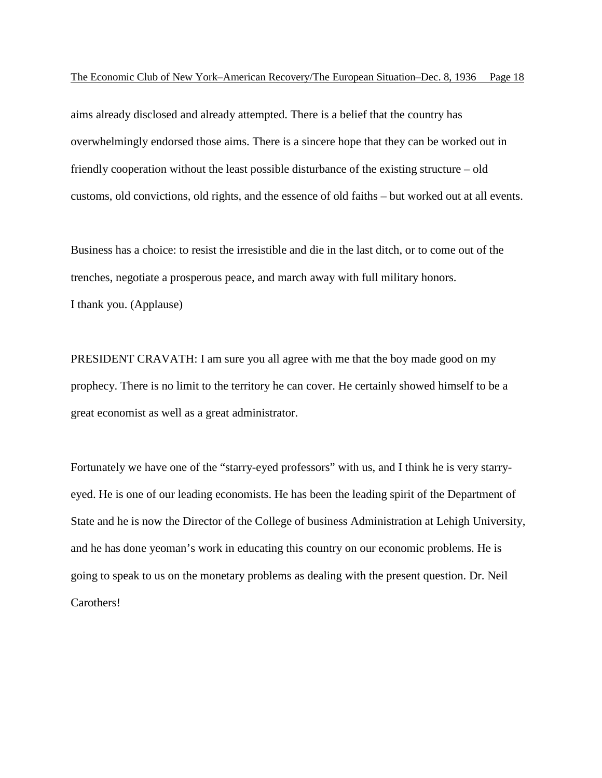aims already disclosed and already attempted. There is a belief that the country has overwhelmingly endorsed those aims. There is a sincere hope that they can be worked out in friendly cooperation without the least possible disturbance of the existing structure – old customs, old convictions, old rights, and the essence of old faiths – but worked out at all events.

Business has a choice: to resist the irresistible and die in the last ditch, or to come out of the trenches, negotiate a prosperous peace, and march away with full military honors. I thank you. (Applause)

PRESIDENT CRAVATH: I am sure you all agree with me that the boy made good on my prophecy. There is no limit to the territory he can cover. He certainly showed himself to be a great economist as well as a great administrator.

Fortunately we have one of the "starry-eyed professors" with us, and I think he is very starryeyed. He is one of our leading economists. He has been the leading spirit of the Department of State and he is now the Director of the College of business Administration at Lehigh University, and he has done yeoman's work in educating this country on our economic problems. He is going to speak to us on the monetary problems as dealing with the present question. Dr. Neil Carothers!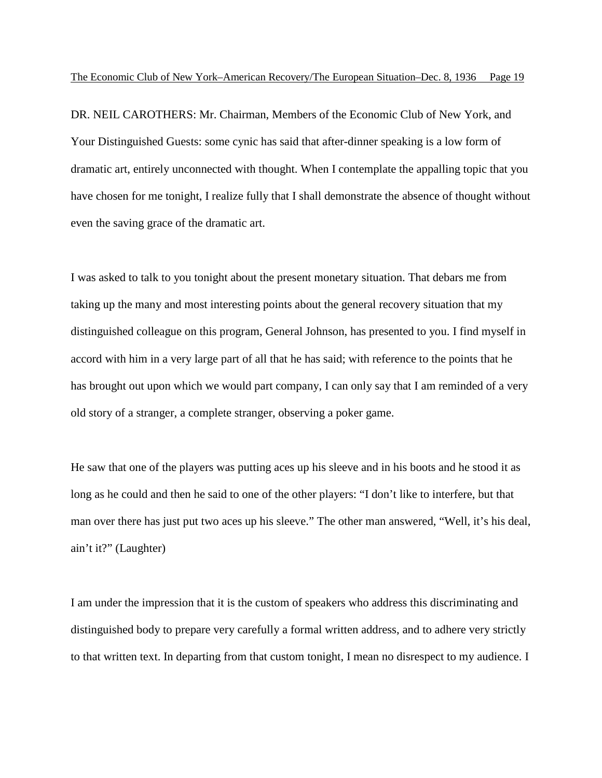DR. NEIL CAROTHERS: Mr. Chairman, Members of the Economic Club of New York, and Your Distinguished Guests: some cynic has said that after-dinner speaking is a low form of dramatic art, entirely unconnected with thought. When I contemplate the appalling topic that you have chosen for me tonight, I realize fully that I shall demonstrate the absence of thought without even the saving grace of the dramatic art.

I was asked to talk to you tonight about the present monetary situation. That debars me from taking up the many and most interesting points about the general recovery situation that my distinguished colleague on this program, General Johnson, has presented to you. I find myself in accord with him in a very large part of all that he has said; with reference to the points that he has brought out upon which we would part company, I can only say that I am reminded of a very old story of a stranger, a complete stranger, observing a poker game.

He saw that one of the players was putting aces up his sleeve and in his boots and he stood it as long as he could and then he said to one of the other players: "I don't like to interfere, but that man over there has just put two aces up his sleeve." The other man answered, "Well, it's his deal, ain't it?" (Laughter)

I am under the impression that it is the custom of speakers who address this discriminating and distinguished body to prepare very carefully a formal written address, and to adhere very strictly to that written text. In departing from that custom tonight, I mean no disrespect to my audience. I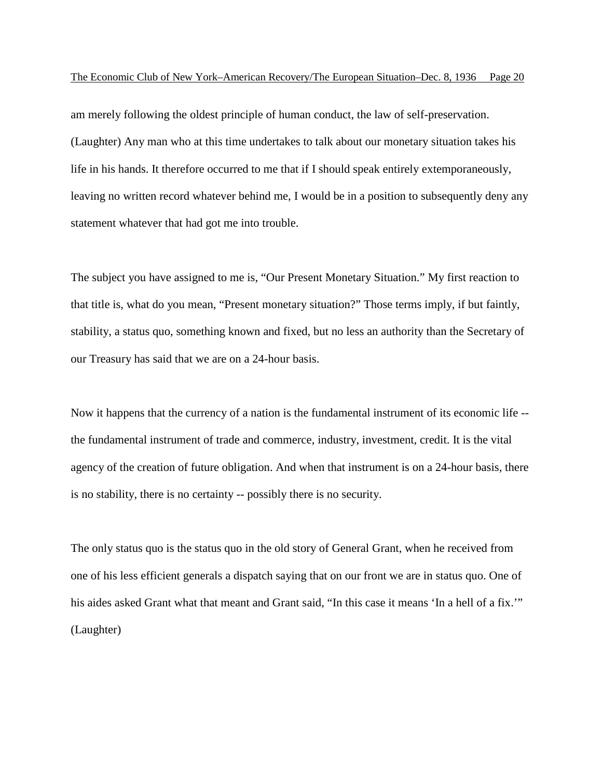am merely following the oldest principle of human conduct, the law of self-preservation. (Laughter) Any man who at this time undertakes to talk about our monetary situation takes his life in his hands. It therefore occurred to me that if I should speak entirely extemporaneously, leaving no written record whatever behind me, I would be in a position to subsequently deny any statement whatever that had got me into trouble.

The subject you have assigned to me is, "Our Present Monetary Situation." My first reaction to that title is, what do you mean, "Present monetary situation?" Those terms imply, if but faintly, stability, a status quo, something known and fixed, but no less an authority than the Secretary of our Treasury has said that we are on a 24-hour basis.

Now it happens that the currency of a nation is the fundamental instrument of its economic life - the fundamental instrument of trade and commerce, industry, investment, credit. It is the vital agency of the creation of future obligation. And when that instrument is on a 24-hour basis, there is no stability, there is no certainty -- possibly there is no security.

The only status quo is the status quo in the old story of General Grant, when he received from one of his less efficient generals a dispatch saying that on our front we are in status quo. One of his aides asked Grant what that meant and Grant said, "In this case it means 'In a hell of a fix.'" (Laughter)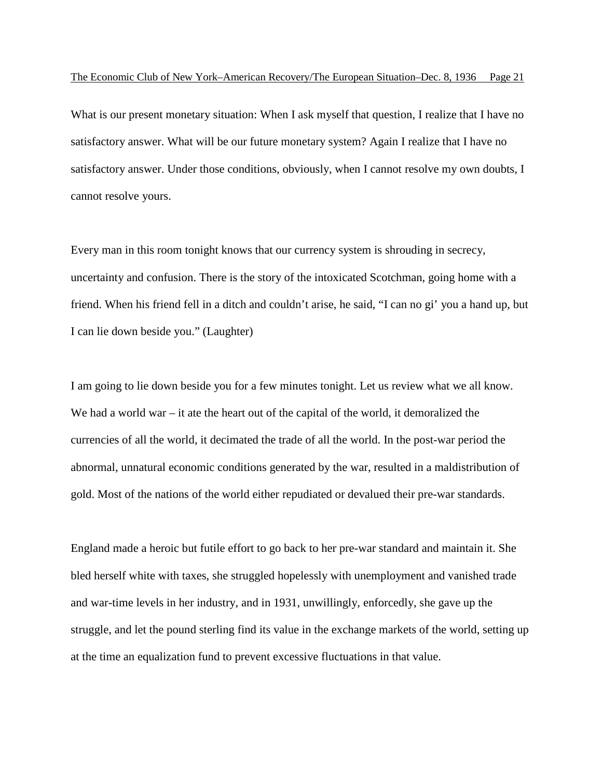What is our present monetary situation: When I ask myself that question, I realize that I have no satisfactory answer. What will be our future monetary system? Again I realize that I have no satisfactory answer. Under those conditions, obviously, when I cannot resolve my own doubts, I cannot resolve yours.

Every man in this room tonight knows that our currency system is shrouding in secrecy, uncertainty and confusion. There is the story of the intoxicated Scotchman, going home with a friend. When his friend fell in a ditch and couldn't arise, he said, "I can no gi' you a hand up, but I can lie down beside you." (Laughter)

I am going to lie down beside you for a few minutes tonight. Let us review what we all know. We had a world war – it ate the heart out of the capital of the world, it demoralized the currencies of all the world, it decimated the trade of all the world. In the post-war period the abnormal, unnatural economic conditions generated by the war, resulted in a maldistribution of gold. Most of the nations of the world either repudiated or devalued their pre-war standards.

England made a heroic but futile effort to go back to her pre-war standard and maintain it. She bled herself white with taxes, she struggled hopelessly with unemployment and vanished trade and war-time levels in her industry, and in 1931, unwillingly, enforcedly, she gave up the struggle, and let the pound sterling find its value in the exchange markets of the world, setting up at the time an equalization fund to prevent excessive fluctuations in that value.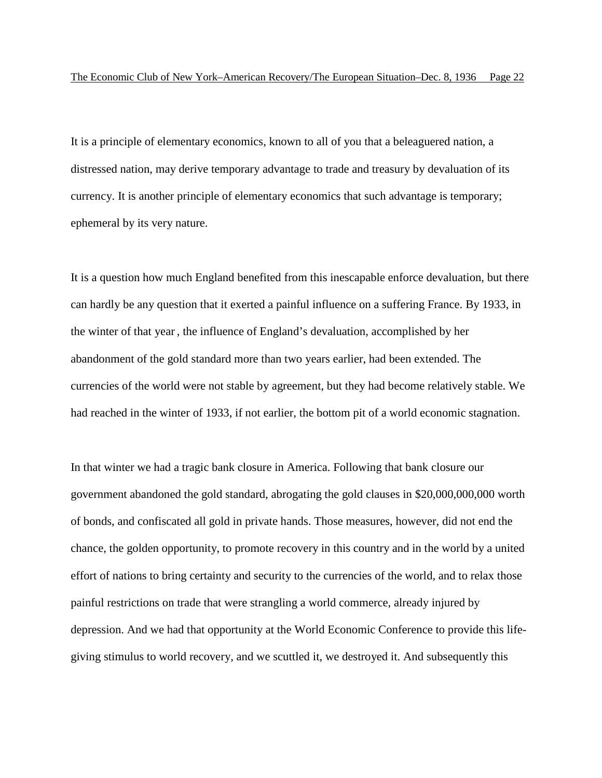It is a principle of elementary economics, known to all of you that a beleaguered nation, a distressed nation, may derive temporary advantage to trade and treasury by devaluation of its currency. It is another principle of elementary economics that such advantage is temporary; ephemeral by its very nature.

It is a question how much England benefited from this inescapable enforce devaluation, but there can hardly be any question that it exerted a painful influence on a suffering France. By 1933, in the winter of that year , the influence of England's devaluation, accomplished by her abandonment of the gold standard more than two years earlier, had been extended. The currencies of the world were not stable by agreement, but they had become relatively stable. We had reached in the winter of 1933, if not earlier, the bottom pit of a world economic stagnation.

In that winter we had a tragic bank closure in America. Following that bank closure our government abandoned the gold standard, abrogating the gold clauses in \$20,000,000,000 worth of bonds, and confiscated all gold in private hands. Those measures, however, did not end the chance, the golden opportunity, to promote recovery in this country and in the world by a united effort of nations to bring certainty and security to the currencies of the world, and to relax those painful restrictions on trade that were strangling a world commerce, already injured by depression. And we had that opportunity at the World Economic Conference to provide this lifegiving stimulus to world recovery, and we scuttled it, we destroyed it. And subsequently this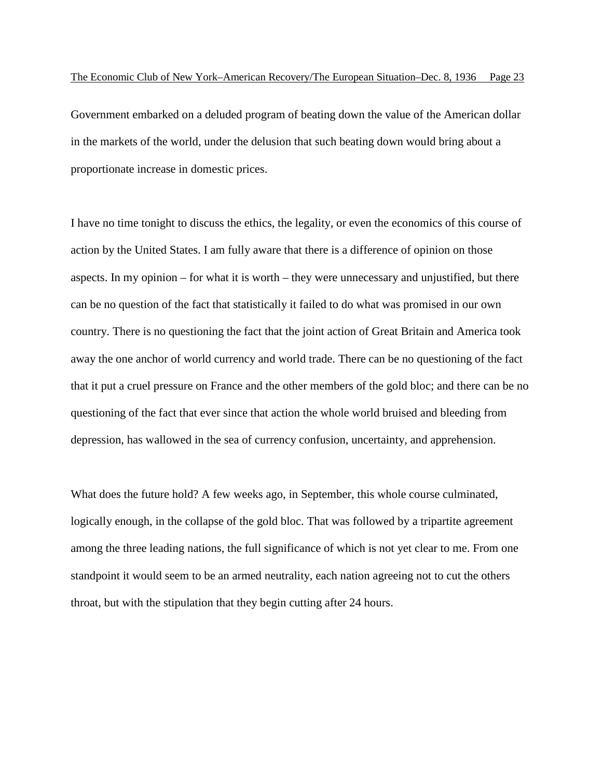Government embarked on a deluded program of beating down the value of the American dollar in the markets of the world, under the delusion that such beating down would bring about a proportionate increase in domestic prices.

I have no time tonight to discuss the ethics, the legality, or even the economics of this course of action by the United States. I am fully aware that there is a difference of opinion on those aspects. In my opinion – for what it is worth – they were unnecessary and unjustified, but there can be no question of the fact that statistically it failed to do what was promised in our own country. There is no questioning the fact that the joint action of Great Britain and America took away the one anchor of world currency and world trade. There can be no questioning of the fact that it put a cruel pressure on France and the other members of the gold bloc; and there can be no questioning of the fact that ever since that action the whole world bruised and bleeding from depression, has wallowed in the sea of currency confusion, uncertainty, and apprehension.

What does the future hold? A few weeks ago, in September, this whole course culminated, logically enough, in the collapse of the gold bloc. That was followed by a tripartite agreement among the three leading nations, the full significance of which is not yet clear to me. From one standpoint it would seem to be an armed neutrality, each nation agreeing not to cut the others throat, but with the stipulation that they begin cutting after 24 hours.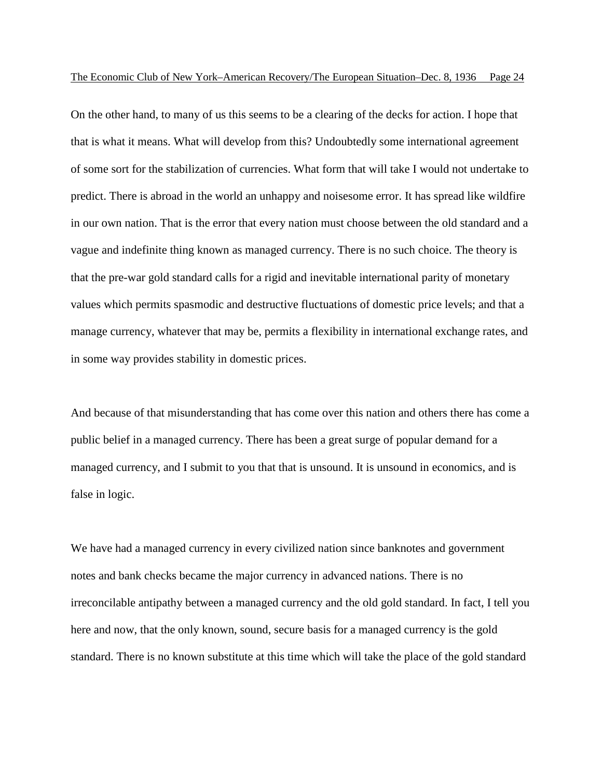On the other hand, to many of us this seems to be a clearing of the decks for action. I hope that that is what it means. What will develop from this? Undoubtedly some international agreement of some sort for the stabilization of currencies. What form that will take I would not undertake to predict. There is abroad in the world an unhappy and noisesome error. It has spread like wildfire in our own nation. That is the error that every nation must choose between the old standard and a vague and indefinite thing known as managed currency. There is no such choice. The theory is that the pre-war gold standard calls for a rigid and inevitable international parity of monetary values which permits spasmodic and destructive fluctuations of domestic price levels; and that a manage currency, whatever that may be, permits a flexibility in international exchange rates, and in some way provides stability in domestic prices.

And because of that misunderstanding that has come over this nation and others there has come a public belief in a managed currency. There has been a great surge of popular demand for a managed currency, and I submit to you that that is unsound. It is unsound in economics, and is false in logic.

We have had a managed currency in every civilized nation since banknotes and government notes and bank checks became the major currency in advanced nations. There is no irreconcilable antipathy between a managed currency and the old gold standard. In fact, I tell you here and now, that the only known, sound, secure basis for a managed currency is the gold standard. There is no known substitute at this time which will take the place of the gold standard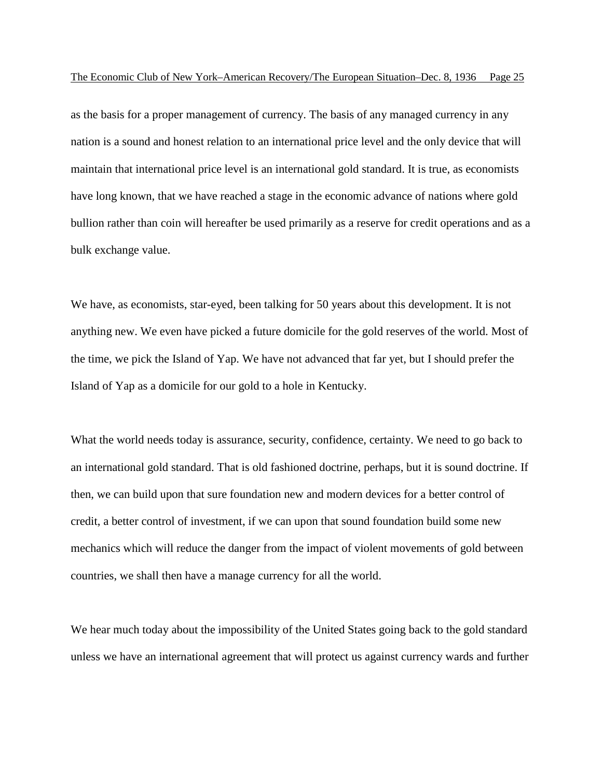as the basis for a proper management of currency. The basis of any managed currency in any nation is a sound and honest relation to an international price level and the only device that will maintain that international price level is an international gold standard. It is true, as economists have long known, that we have reached a stage in the economic advance of nations where gold bullion rather than coin will hereafter be used primarily as a reserve for credit operations and as a bulk exchange value.

We have, as economists, star-eyed, been talking for 50 years about this development. It is not anything new. We even have picked a future domicile for the gold reserves of the world. Most of the time, we pick the Island of Yap. We have not advanced that far yet, but I should prefer the Island of Yap as a domicile for our gold to a hole in Kentucky.

What the world needs today is assurance, security, confidence, certainty. We need to go back to an international gold standard. That is old fashioned doctrine, perhaps, but it is sound doctrine. If then, we can build upon that sure foundation new and modern devices for a better control of credit, a better control of investment, if we can upon that sound foundation build some new mechanics which will reduce the danger from the impact of violent movements of gold between countries, we shall then have a manage currency for all the world.

We hear much today about the impossibility of the United States going back to the gold standard unless we have an international agreement that will protect us against currency wards and further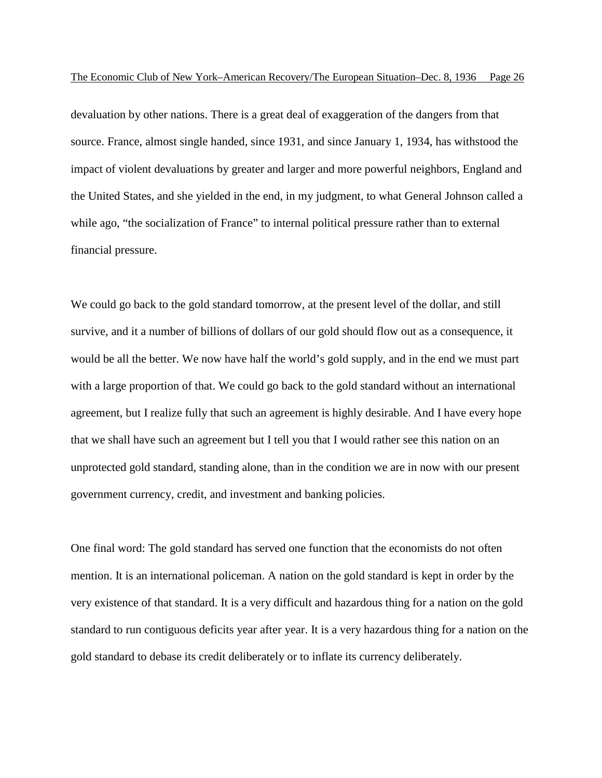devaluation by other nations. There is a great deal of exaggeration of the dangers from that source. France, almost single handed, since 1931, and since January 1, 1934, has withstood the impact of violent devaluations by greater and larger and more powerful neighbors, England and the United States, and she yielded in the end, in my judgment, to what General Johnson called a while ago, "the socialization of France" to internal political pressure rather than to external financial pressure.

We could go back to the gold standard tomorrow, at the present level of the dollar, and still survive, and it a number of billions of dollars of our gold should flow out as a consequence, it would be all the better. We now have half the world's gold supply, and in the end we must part with a large proportion of that. We could go back to the gold standard without an international agreement, but I realize fully that such an agreement is highly desirable. And I have every hope that we shall have such an agreement but I tell you that I would rather see this nation on an unprotected gold standard, standing alone, than in the condition we are in now with our present government currency, credit, and investment and banking policies.

One final word: The gold standard has served one function that the economists do not often mention. It is an international policeman. A nation on the gold standard is kept in order by the very existence of that standard. It is a very difficult and hazardous thing for a nation on the gold standard to run contiguous deficits year after year. It is a very hazardous thing for a nation on the gold standard to debase its credit deliberately or to inflate its currency deliberately.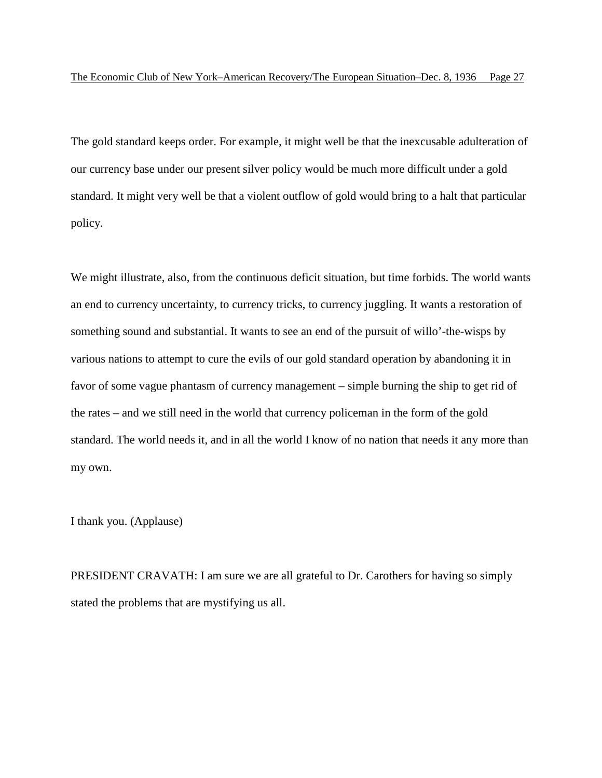The gold standard keeps order. For example, it might well be that the inexcusable adulteration of our currency base under our present silver policy would be much more difficult under a gold standard. It might very well be that a violent outflow of gold would bring to a halt that particular policy.

We might illustrate, also, from the continuous deficit situation, but time forbids. The world wants an end to currency uncertainty, to currency tricks, to currency juggling. It wants a restoration of something sound and substantial. It wants to see an end of the pursuit of willo'-the-wisps by various nations to attempt to cure the evils of our gold standard operation by abandoning it in favor of some vague phantasm of currency management – simple burning the ship to get rid of the rates – and we still need in the world that currency policeman in the form of the gold standard. The world needs it, and in all the world I know of no nation that needs it any more than my own.

I thank you. (Applause)

PRESIDENT CRAVATH: I am sure we are all grateful to Dr. Carothers for having so simply stated the problems that are mystifying us all.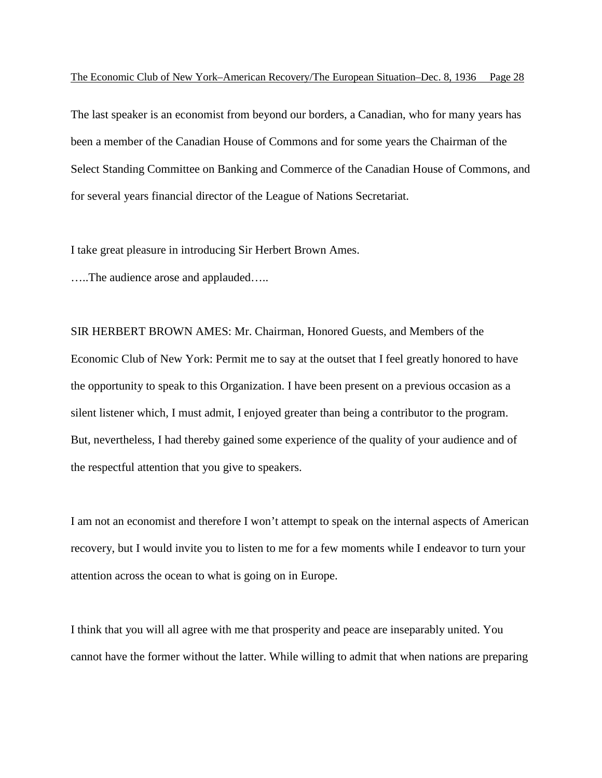The last speaker is an economist from beyond our borders, a Canadian, who for many years has been a member of the Canadian House of Commons and for some years the Chairman of the Select Standing Committee on Banking and Commerce of the Canadian House of Commons, and for several years financial director of the League of Nations Secretariat.

I take great pleasure in introducing Sir Herbert Brown Ames.

…..The audience arose and applauded…..

SIR HERBERT BROWN AMES: Mr. Chairman, Honored Guests, and Members of the Economic Club of New York: Permit me to say at the outset that I feel greatly honored to have the opportunity to speak to this Organization. I have been present on a previous occasion as a silent listener which, I must admit, I enjoyed greater than being a contributor to the program. But, nevertheless, I had thereby gained some experience of the quality of your audience and of the respectful attention that you give to speakers.

I am not an economist and therefore I won't attempt to speak on the internal aspects of American recovery, but I would invite you to listen to me for a few moments while I endeavor to turn your attention across the ocean to what is going on in Europe.

I think that you will all agree with me that prosperity and peace are inseparably united. You cannot have the former without the latter. While willing to admit that when nations are preparing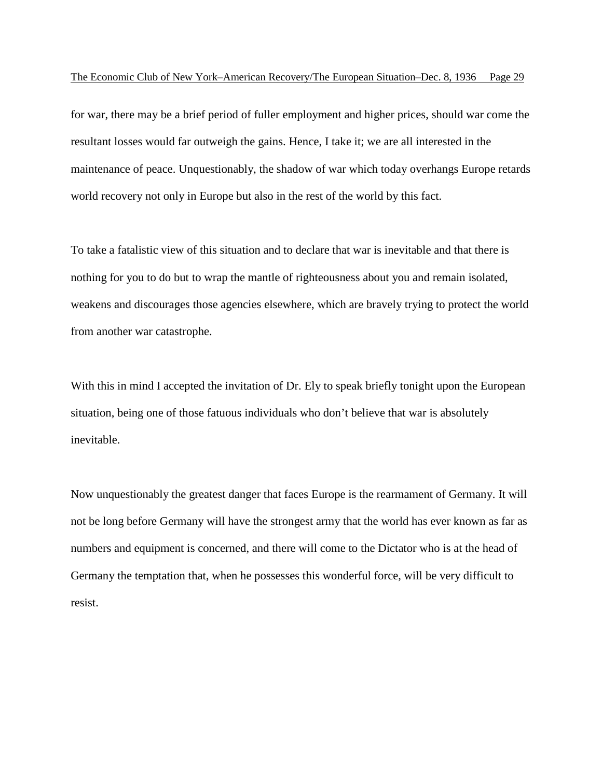for war, there may be a brief period of fuller employment and higher prices, should war come the resultant losses would far outweigh the gains. Hence, I take it; we are all interested in the maintenance of peace. Unquestionably, the shadow of war which today overhangs Europe retards world recovery not only in Europe but also in the rest of the world by this fact.

To take a fatalistic view of this situation and to declare that war is inevitable and that there is nothing for you to do but to wrap the mantle of righteousness about you and remain isolated, weakens and discourages those agencies elsewhere, which are bravely trying to protect the world from another war catastrophe.

With this in mind I accepted the invitation of Dr. Ely to speak briefly tonight upon the European situation, being one of those fatuous individuals who don't believe that war is absolutely inevitable.

Now unquestionably the greatest danger that faces Europe is the rearmament of Germany. It will not be long before Germany will have the strongest army that the world has ever known as far as numbers and equipment is concerned, and there will come to the Dictator who is at the head of Germany the temptation that, when he possesses this wonderful force, will be very difficult to resist.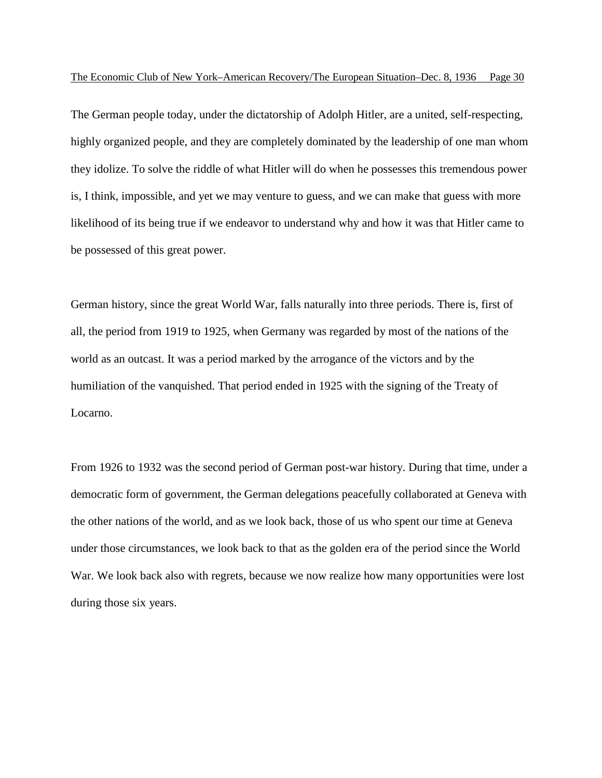The German people today, under the dictatorship of Adolph Hitler, are a united, self-respecting, highly organized people, and they are completely dominated by the leadership of one man whom they idolize. To solve the riddle of what Hitler will do when he possesses this tremendous power is, I think, impossible, and yet we may venture to guess, and we can make that guess with more likelihood of its being true if we endeavor to understand why and how it was that Hitler came to be possessed of this great power.

German history, since the great World War, falls naturally into three periods. There is, first of all, the period from 1919 to 1925, when Germany was regarded by most of the nations of the world as an outcast. It was a period marked by the arrogance of the victors and by the humiliation of the vanquished. That period ended in 1925 with the signing of the Treaty of Locarno.

From 1926 to 1932 was the second period of German post-war history. During that time, under a democratic form of government, the German delegations peacefully collaborated at Geneva with the other nations of the world, and as we look back, those of us who spent our time at Geneva under those circumstances, we look back to that as the golden era of the period since the World War. We look back also with regrets, because we now realize how many opportunities were lost during those six years.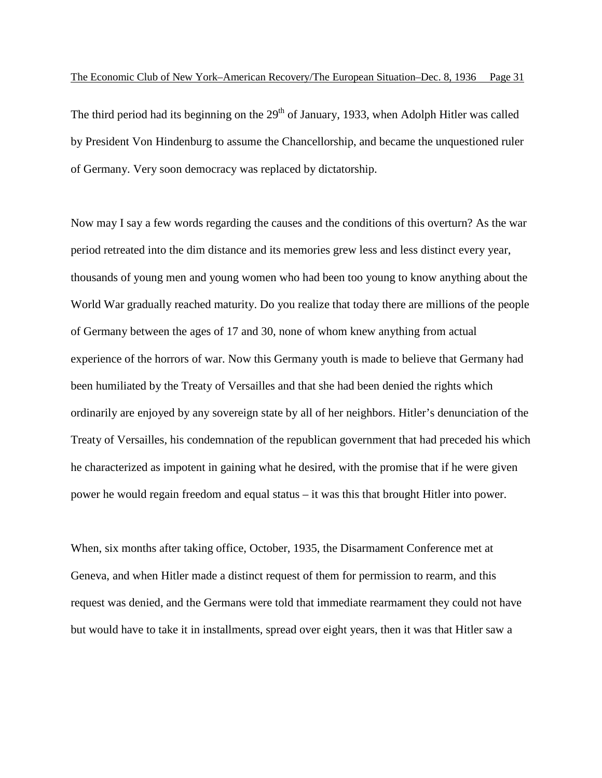The third period had its beginning on the  $29<sup>th</sup>$  of January, 1933, when Adolph Hitler was called by President Von Hindenburg to assume the Chancellorship, and became the unquestioned ruler of Germany. Very soon democracy was replaced by dictatorship.

Now may I say a few words regarding the causes and the conditions of this overturn? As the war period retreated into the dim distance and its memories grew less and less distinct every year, thousands of young men and young women who had been too young to know anything about the World War gradually reached maturity. Do you realize that today there are millions of the people of Germany between the ages of 17 and 30, none of whom knew anything from actual experience of the horrors of war. Now this Germany youth is made to believe that Germany had been humiliated by the Treaty of Versailles and that she had been denied the rights which ordinarily are enjoyed by any sovereign state by all of her neighbors. Hitler's denunciation of the Treaty of Versailles, his condemnation of the republican government that had preceded his which he characterized as impotent in gaining what he desired, with the promise that if he were given power he would regain freedom and equal status – it was this that brought Hitler into power.

When, six months after taking office, October, 1935, the Disarmament Conference met at Geneva, and when Hitler made a distinct request of them for permission to rearm, and this request was denied, and the Germans were told that immediate rearmament they could not have but would have to take it in installments, spread over eight years, then it was that Hitler saw a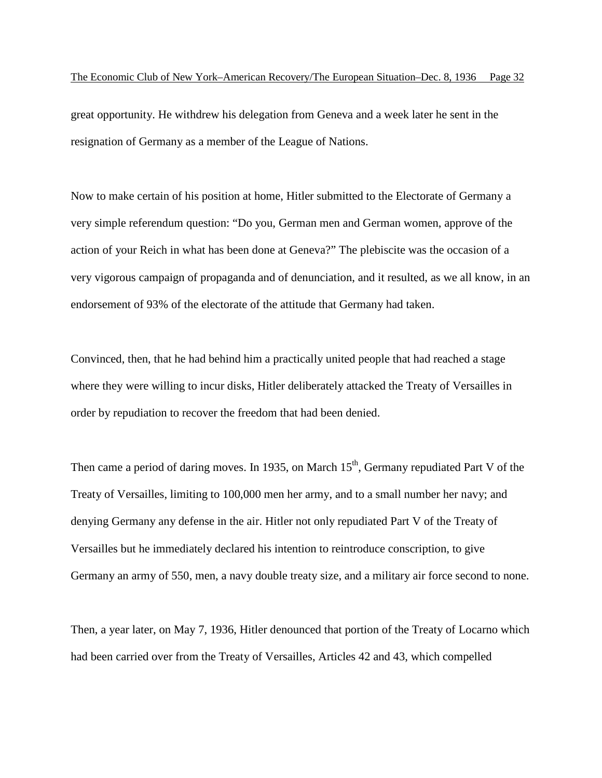great opportunity. He withdrew his delegation from Geneva and a week later he sent in the resignation of Germany as a member of the League of Nations.

Now to make certain of his position at home, Hitler submitted to the Electorate of Germany a very simple referendum question: "Do you, German men and German women, approve of the action of your Reich in what has been done at Geneva?" The plebiscite was the occasion of a very vigorous campaign of propaganda and of denunciation, and it resulted, as we all know, in an endorsement of 93% of the electorate of the attitude that Germany had taken.

Convinced, then, that he had behind him a practically united people that had reached a stage where they were willing to incur disks, Hitler deliberately attacked the Treaty of Versailles in order by repudiation to recover the freedom that had been denied.

Then came a period of daring moves. In 1935, on March  $15<sup>th</sup>$ , Germany repudiated Part V of the Treaty of Versailles, limiting to 100,000 men her army, and to a small number her navy; and denying Germany any defense in the air. Hitler not only repudiated Part V of the Treaty of Versailles but he immediately declared his intention to reintroduce conscription, to give Germany an army of 550, men, a navy double treaty size, and a military air force second to none.

Then, a year later, on May 7, 1936, Hitler denounced that portion of the Treaty of Locarno which had been carried over from the Treaty of Versailles, Articles 42 and 43, which compelled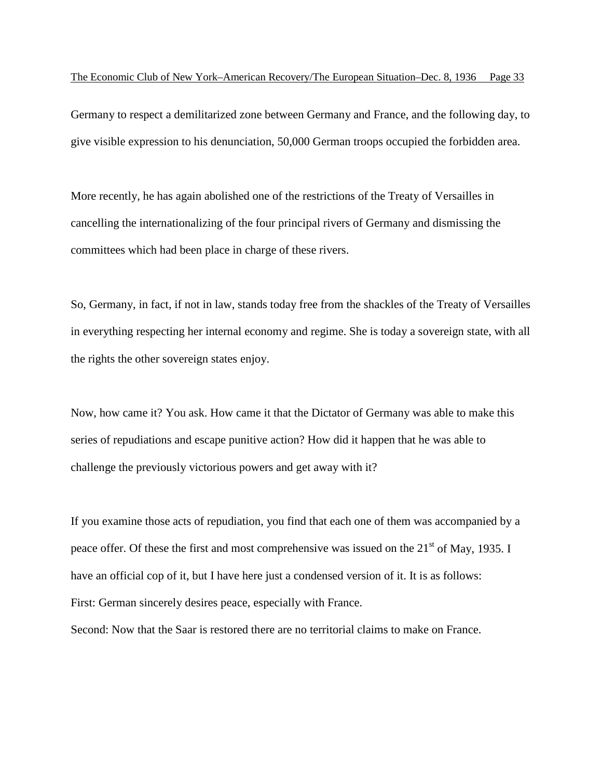Germany to respect a demilitarized zone between Germany and France, and the following day, to give visible expression to his denunciation, 50,000 German troops occupied the forbidden area.

More recently, he has again abolished one of the restrictions of the Treaty of Versailles in cancelling the internationalizing of the four principal rivers of Germany and dismissing the committees which had been place in charge of these rivers.

So, Germany, in fact, if not in law, stands today free from the shackles of the Treaty of Versailles in everything respecting her internal economy and regime. She is today a sovereign state, with all the rights the other sovereign states enjoy.

Now, how came it? You ask. How came it that the Dictator of Germany was able to make this series of repudiations and escape punitive action? How did it happen that he was able to challenge the previously victorious powers and get away with it?

If you examine those acts of repudiation, you find that each one of them was accompanied by a peace offer. Of these the first and most comprehensive was issued on the  $21<sup>st</sup>$  of May, 1935. I have an official cop of it, but I have here just a condensed version of it. It is as follows: First: German sincerely desires peace, especially with France.

Second: Now that the Saar is restored there are no territorial claims to make on France.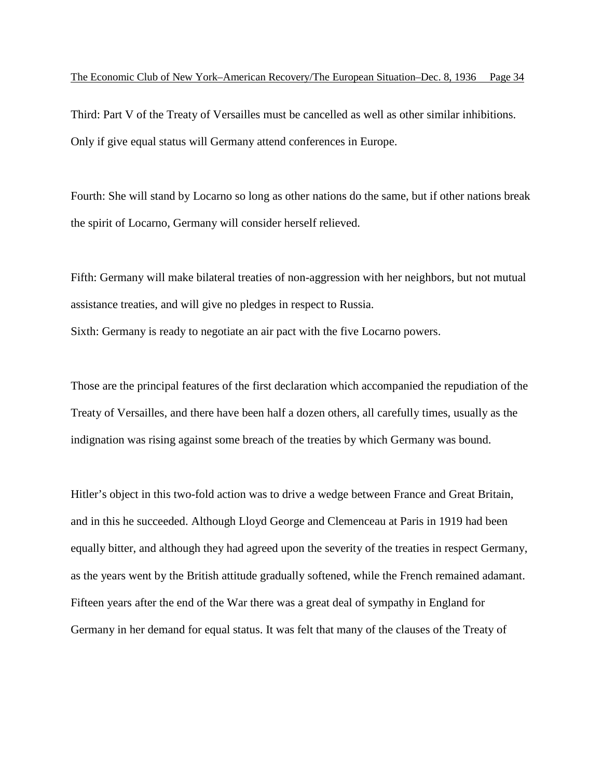Third: Part V of the Treaty of Versailles must be cancelled as well as other similar inhibitions. Only if give equal status will Germany attend conferences in Europe.

Fourth: She will stand by Locarno so long as other nations do the same, but if other nations break the spirit of Locarno, Germany will consider herself relieved.

Fifth: Germany will make bilateral treaties of non-aggression with her neighbors, but not mutual assistance treaties, and will give no pledges in respect to Russia.

Sixth: Germany is ready to negotiate an air pact with the five Locarno powers.

Those are the principal features of the first declaration which accompanied the repudiation of the Treaty of Versailles, and there have been half a dozen others, all carefully times, usually as the indignation was rising against some breach of the treaties by which Germany was bound.

Hitler's object in this two-fold action was to drive a wedge between France and Great Britain, and in this he succeeded. Although Lloyd George and Clemenceau at Paris in 1919 had been equally bitter, and although they had agreed upon the severity of the treaties in respect Germany, as the years went by the British attitude gradually softened, while the French remained adamant. Fifteen years after the end of the War there was a great deal of sympathy in England for Germany in her demand for equal status. It was felt that many of the clauses of the Treaty of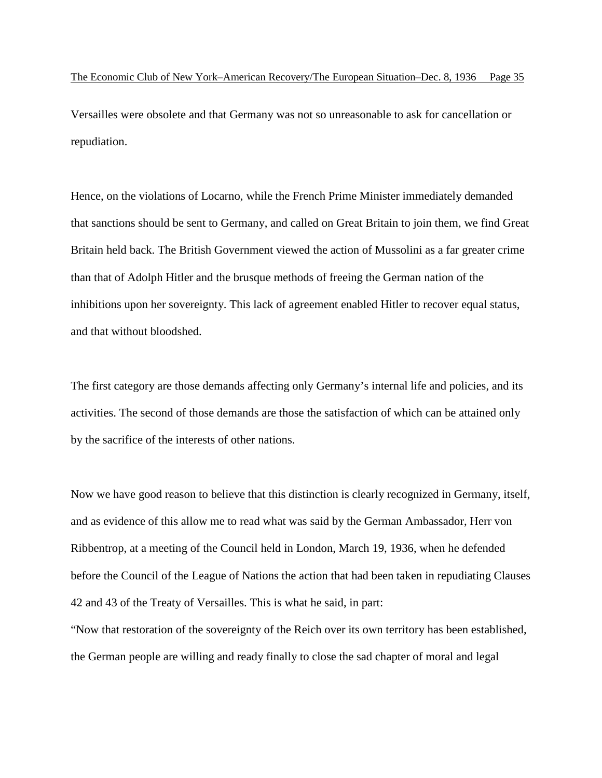Versailles were obsolete and that Germany was not so unreasonable to ask for cancellation or repudiation.

Hence, on the violations of Locarno, while the French Prime Minister immediately demanded that sanctions should be sent to Germany, and called on Great Britain to join them, we find Great Britain held back. The British Government viewed the action of Mussolini as a far greater crime than that of Adolph Hitler and the brusque methods of freeing the German nation of the inhibitions upon her sovereignty. This lack of agreement enabled Hitler to recover equal status, and that without bloodshed.

The first category are those demands affecting only Germany's internal life and policies, and its activities. The second of those demands are those the satisfaction of which can be attained only by the sacrifice of the interests of other nations.

Now we have good reason to believe that this distinction is clearly recognized in Germany, itself, and as evidence of this allow me to read what was said by the German Ambassador, Herr von Ribbentrop, at a meeting of the Council held in London, March 19, 1936, when he defended before the Council of the League of Nations the action that had been taken in repudiating Clauses 42 and 43 of the Treaty of Versailles. This is what he said, in part:

"Now that restoration of the sovereignty of the Reich over its own territory has been established, the German people are willing and ready finally to close the sad chapter of moral and legal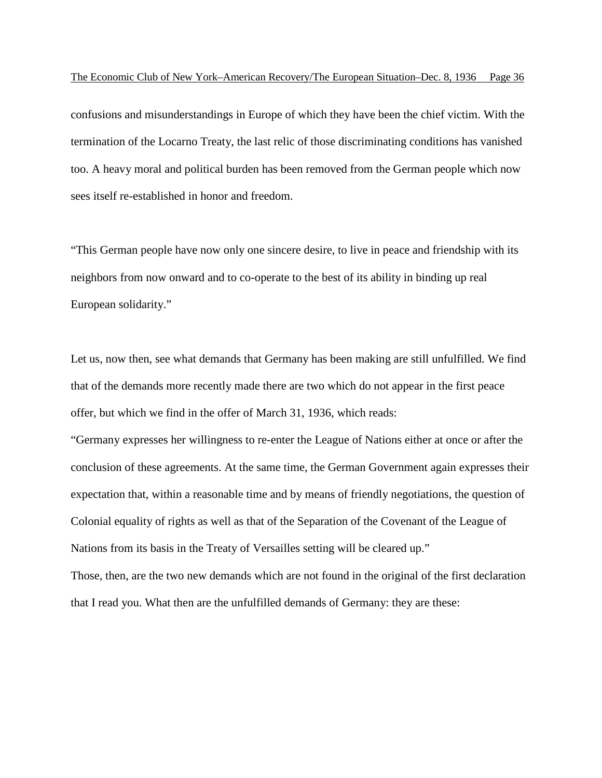confusions and misunderstandings in Europe of which they have been the chief victim. With the termination of the Locarno Treaty, the last relic of those discriminating conditions has vanished too. A heavy moral and political burden has been removed from the German people which now sees itself re-established in honor and freedom.

"This German people have now only one sincere desire, to live in peace and friendship with its neighbors from now onward and to co-operate to the best of its ability in binding up real European solidarity."

Let us, now then, see what demands that Germany has been making are still unfulfilled. We find that of the demands more recently made there are two which do not appear in the first peace offer, but which we find in the offer of March 31, 1936, which reads:

"Germany expresses her willingness to re-enter the League of Nations either at once or after the conclusion of these agreements. At the same time, the German Government again expresses their expectation that, within a reasonable time and by means of friendly negotiations, the question of Colonial equality of rights as well as that of the Separation of the Covenant of the League of Nations from its basis in the Treaty of Versailles setting will be cleared up." Those, then, are the two new demands which are not found in the original of the first declaration

that I read you. What then are the unfulfilled demands of Germany: they are these: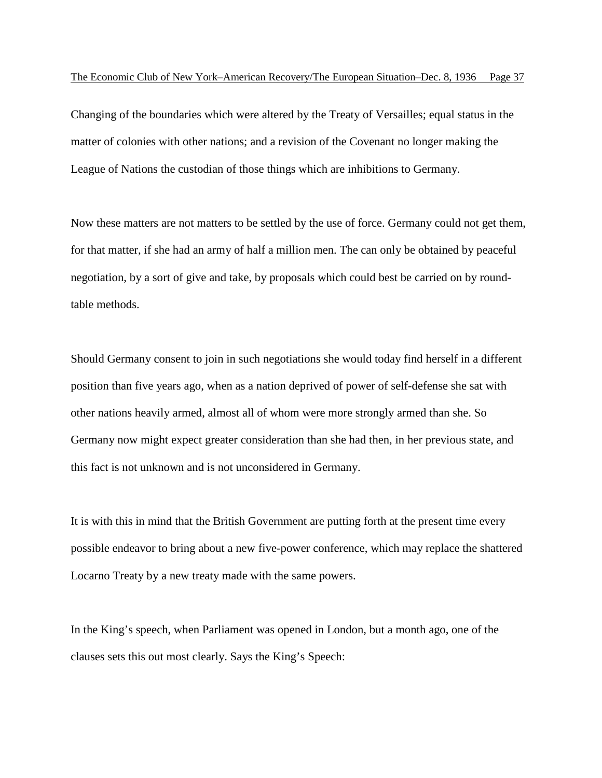Changing of the boundaries which were altered by the Treaty of Versailles; equal status in the matter of colonies with other nations; and a revision of the Covenant no longer making the League of Nations the custodian of those things which are inhibitions to Germany.

Now these matters are not matters to be settled by the use of force. Germany could not get them, for that matter, if she had an army of half a million men. The can only be obtained by peaceful negotiation, by a sort of give and take, by proposals which could best be carried on by roundtable methods.

Should Germany consent to join in such negotiations she would today find herself in a different position than five years ago, when as a nation deprived of power of self-defense she sat with other nations heavily armed, almost all of whom were more strongly armed than she. So Germany now might expect greater consideration than she had then, in her previous state, and this fact is not unknown and is not unconsidered in Germany.

It is with this in mind that the British Government are putting forth at the present time every possible endeavor to bring about a new five-power conference, which may replace the shattered Locarno Treaty by a new treaty made with the same powers.

In the King's speech, when Parliament was opened in London, but a month ago, one of the clauses sets this out most clearly. Says the King's Speech: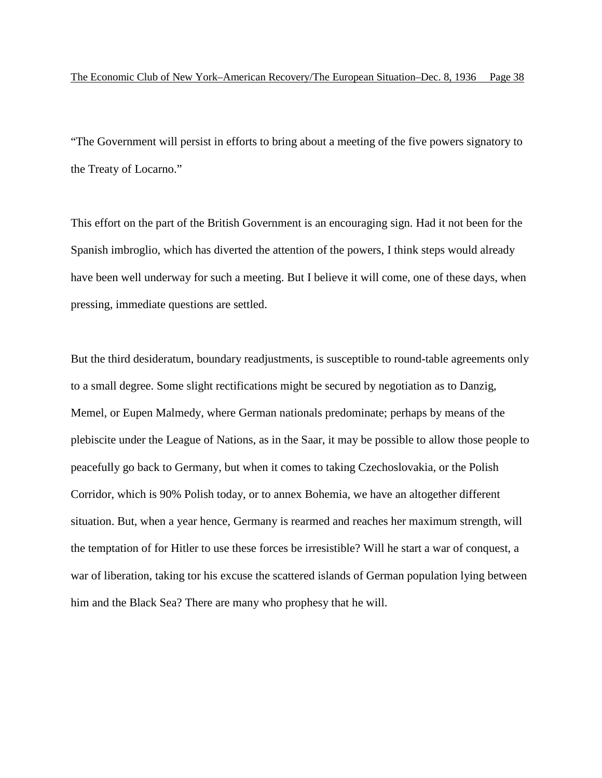"The Government will persist in efforts to bring about a meeting of the five powers signatory to the Treaty of Locarno."

This effort on the part of the British Government is an encouraging sign. Had it not been for the Spanish imbroglio, which has diverted the attention of the powers, I think steps would already have been well underway for such a meeting. But I believe it will come, one of these days, when pressing, immediate questions are settled.

But the third desideratum, boundary readjustments, is susceptible to round-table agreements only to a small degree. Some slight rectifications might be secured by negotiation as to Danzig, Memel, or Eupen Malmedy, where German nationals predominate; perhaps by means of the plebiscite under the League of Nations, as in the Saar, it may be possible to allow those people to peacefully go back to Germany, but when it comes to taking Czechoslovakia, or the Polish Corridor, which is 90% Polish today, or to annex Bohemia, we have an altogether different situation. But, when a year hence, Germany is rearmed and reaches her maximum strength, will the temptation of for Hitler to use these forces be irresistible? Will he start a war of conquest, a war of liberation, taking tor his excuse the scattered islands of German population lying between him and the Black Sea? There are many who prophesy that he will.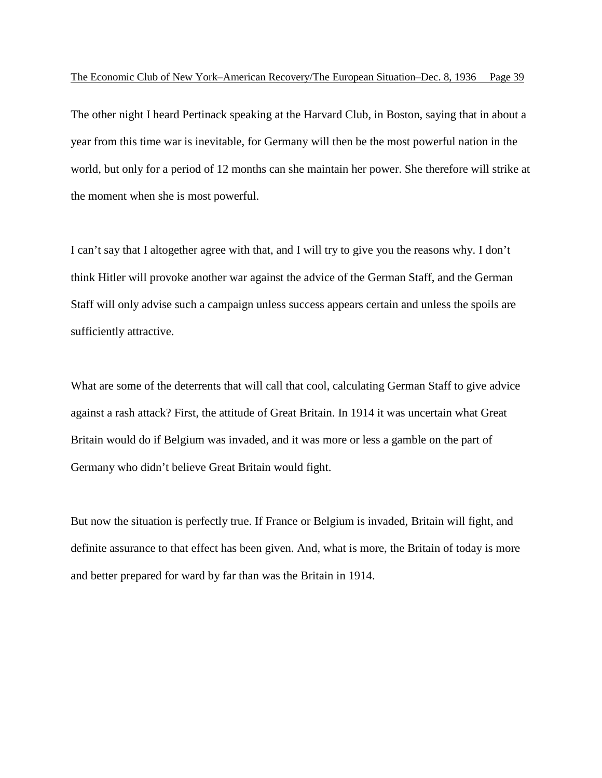The other night I heard Pertinack speaking at the Harvard Club, in Boston, saying that in about a year from this time war is inevitable, for Germany will then be the most powerful nation in the world, but only for a period of 12 months can she maintain her power. She therefore will strike at the moment when she is most powerful.

I can't say that I altogether agree with that, and I will try to give you the reasons why. I don't think Hitler will provoke another war against the advice of the German Staff, and the German Staff will only advise such a campaign unless success appears certain and unless the spoils are sufficiently attractive.

What are some of the deterrents that will call that cool, calculating German Staff to give advice against a rash attack? First, the attitude of Great Britain. In 1914 it was uncertain what Great Britain would do if Belgium was invaded, and it was more or less a gamble on the part of Germany who didn't believe Great Britain would fight.

But now the situation is perfectly true. If France or Belgium is invaded, Britain will fight, and definite assurance to that effect has been given. And, what is more, the Britain of today is more and better prepared for ward by far than was the Britain in 1914.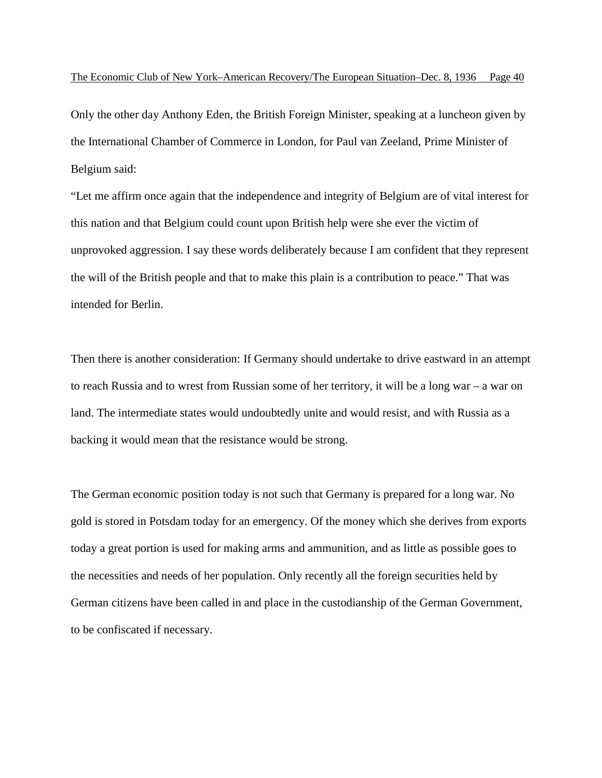Only the other day Anthony Eden, the British Foreign Minister, speaking at a luncheon given by the International Chamber of Commerce in London, for Paul van Zeeland, Prime Minister of Belgium said:

"Let me affirm once again that the independence and integrity of Belgium are of vital interest for this nation and that Belgium could count upon British help were she ever the victim of unprovoked aggression. I say these words deliberately because I am confident that they represent the will of the British people and that to make this plain is a contribution to peace." That was intended for Berlin.

Then there is another consideration: If Germany should undertake to drive eastward in an attempt to reach Russia and to wrest from Russian some of her territory, it will be a long war – a war on land. The intermediate states would undoubtedly unite and would resist, and with Russia as a backing it would mean that the resistance would be strong.

The German economic position today is not such that Germany is prepared for a long war. No gold is stored in Potsdam today for an emergency. Of the money which she derives from exports today a great portion is used for making arms and ammunition, and as little as possible goes to the necessities and needs of her population. Only recently all the foreign securities held by German citizens have been called in and place in the custodianship of the German Government, to be confiscated if necessary.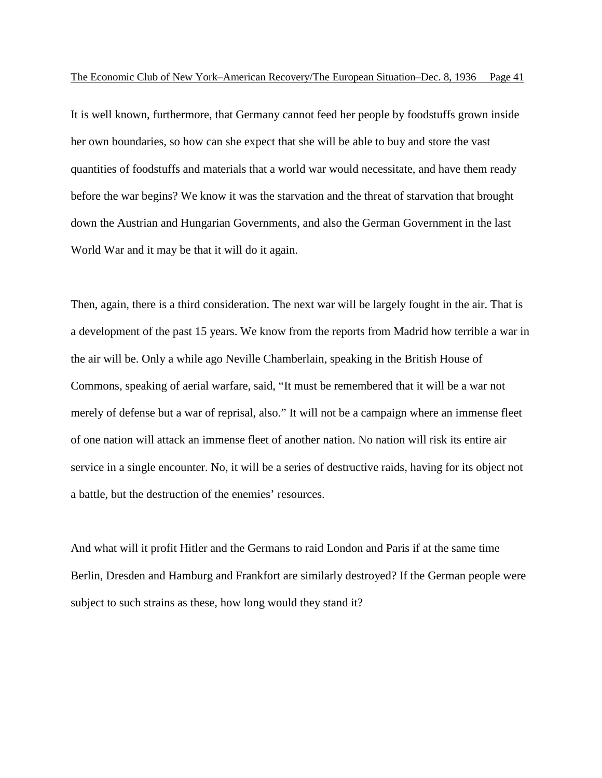It is well known, furthermore, that Germany cannot feed her people by foodstuffs grown inside her own boundaries, so how can she expect that she will be able to buy and store the vast quantities of foodstuffs and materials that a world war would necessitate, and have them ready before the war begins? We know it was the starvation and the threat of starvation that brought down the Austrian and Hungarian Governments, and also the German Government in the last World War and it may be that it will do it again.

Then, again, there is a third consideration. The next war will be largely fought in the air. That is a development of the past 15 years. We know from the reports from Madrid how terrible a war in the air will be. Only a while ago Neville Chamberlain, speaking in the British House of Commons, speaking of aerial warfare, said, "It must be remembered that it will be a war not merely of defense but a war of reprisal, also." It will not be a campaign where an immense fleet of one nation will attack an immense fleet of another nation. No nation will risk its entire air service in a single encounter. No, it will be a series of destructive raids, having for its object not a battle, but the destruction of the enemies' resources.

And what will it profit Hitler and the Germans to raid London and Paris if at the same time Berlin, Dresden and Hamburg and Frankfort are similarly destroyed? If the German people were subject to such strains as these, how long would they stand it?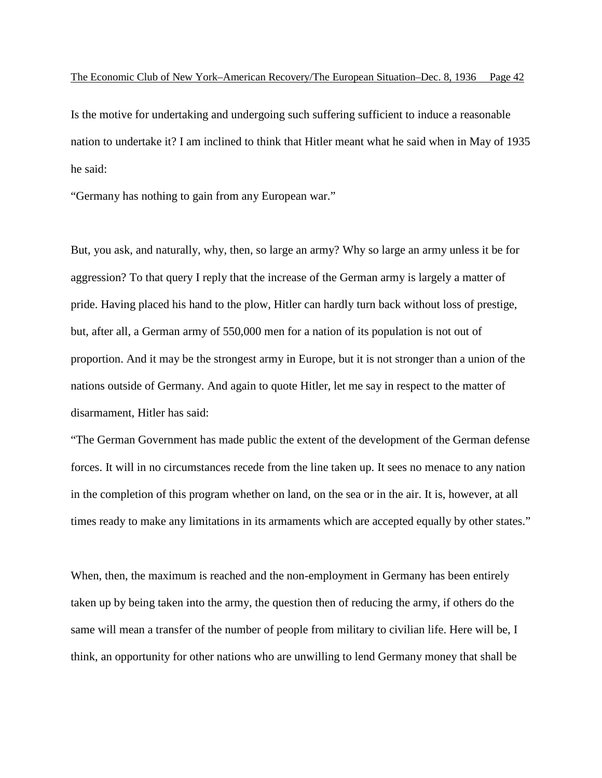Is the motive for undertaking and undergoing such suffering sufficient to induce a reasonable nation to undertake it? I am inclined to think that Hitler meant what he said when in May of 1935 he said:

"Germany has nothing to gain from any European war."

But, you ask, and naturally, why, then, so large an army? Why so large an army unless it be for aggression? To that query I reply that the increase of the German army is largely a matter of pride. Having placed his hand to the plow, Hitler can hardly turn back without loss of prestige, but, after all, a German army of 550,000 men for a nation of its population is not out of proportion. And it may be the strongest army in Europe, but it is not stronger than a union of the nations outside of Germany. And again to quote Hitler, let me say in respect to the matter of disarmament, Hitler has said:

"The German Government has made public the extent of the development of the German defense forces. It will in no circumstances recede from the line taken up. It sees no menace to any nation in the completion of this program whether on land, on the sea or in the air. It is, however, at all times ready to make any limitations in its armaments which are accepted equally by other states."

When, then, the maximum is reached and the non-employment in Germany has been entirely taken up by being taken into the army, the question then of reducing the army, if others do the same will mean a transfer of the number of people from military to civilian life. Here will be, I think, an opportunity for other nations who are unwilling to lend Germany money that shall be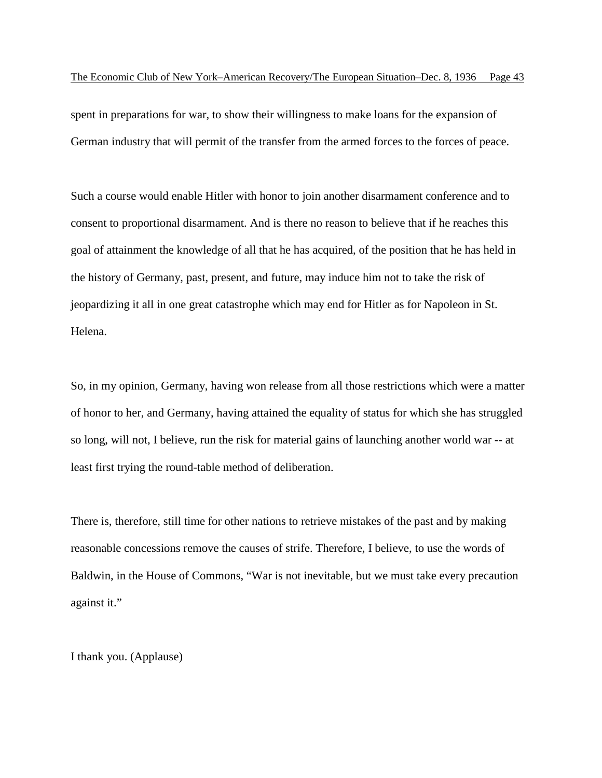spent in preparations for war, to show their willingness to make loans for the expansion of German industry that will permit of the transfer from the armed forces to the forces of peace.

Such a course would enable Hitler with honor to join another disarmament conference and to consent to proportional disarmament. And is there no reason to believe that if he reaches this goal of attainment the knowledge of all that he has acquired, of the position that he has held in the history of Germany, past, present, and future, may induce him not to take the risk of jeopardizing it all in one great catastrophe which may end for Hitler as for Napoleon in St. Helena.

So, in my opinion, Germany, having won release from all those restrictions which were a matter of honor to her, and Germany, having attained the equality of status for which she has struggled so long, will not, I believe, run the risk for material gains of launching another world war -- at least first trying the round-table method of deliberation.

There is, therefore, still time for other nations to retrieve mistakes of the past and by making reasonable concessions remove the causes of strife. Therefore, I believe, to use the words of Baldwin, in the House of Commons, "War is not inevitable, but we must take every precaution against it."

I thank you. (Applause)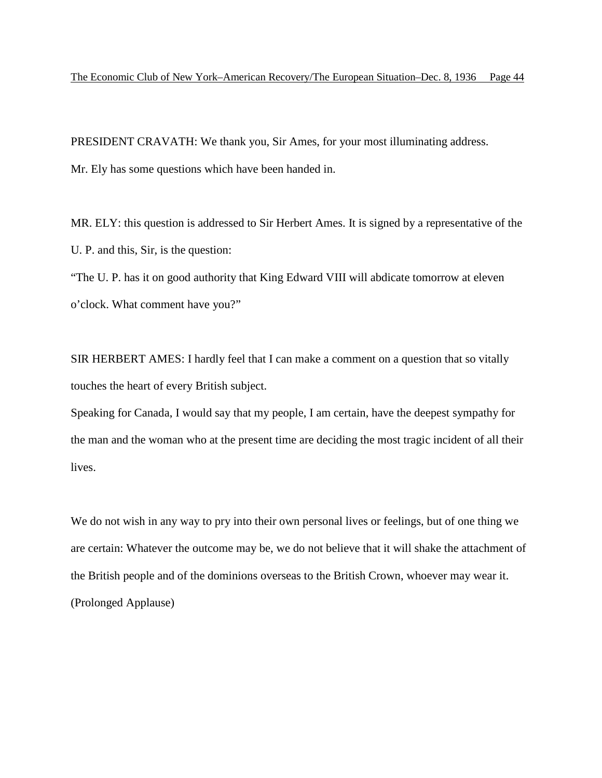PRESIDENT CRAVATH: We thank you, Sir Ames, for your most illuminating address. Mr. Ely has some questions which have been handed in.

MR. ELY: this question is addressed to Sir Herbert Ames. It is signed by a representative of the U. P. and this, Sir, is the question:

"The U. P. has it on good authority that King Edward VIII will abdicate tomorrow at eleven o'clock. What comment have you?"

SIR HERBERT AMES: I hardly feel that I can make a comment on a question that so vitally touches the heart of every British subject.

Speaking for Canada, I would say that my people, I am certain, have the deepest sympathy for the man and the woman who at the present time are deciding the most tragic incident of all their lives.

We do not wish in any way to pry into their own personal lives or feelings, but of one thing we are certain: Whatever the outcome may be, we do not believe that it will shake the attachment of the British people and of the dominions overseas to the British Crown, whoever may wear it. (Prolonged Applause)